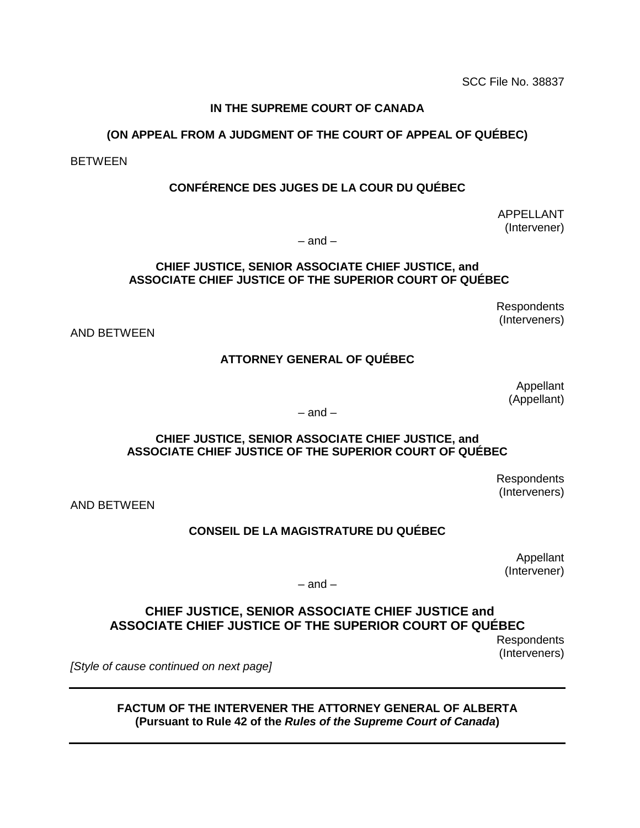SCC File No. 38837 SCC File No. 38837

### IN THE SUPREME COURT OF CANADA **IN THE SUPREME COURT OF CANADA**

#### (ON APPEAL FROM A JUDGMENT OF THE COURT OF APPEAL OF QUEBEC) **(ON APPEAL FROM A JUDGMENT OF THE COURT OF APPEAL OF QUÉBEC)**

BETWEEN BETWEEN

### CONFERENCE DES JUGES DE LA COUR DU QUEBEC **CONFÉRENCE DES JUGES DE LA COUR DU QUÉBEC**

APPELLANT APPELLANT (Intervener) (Intervener)

— and — – and –

#### CHIEF JUSTICE, SENIOR ASSOCIATE CHIEF JUSTICE, and **CHIEF JUSTICE, SENIOR ASSOCIATE CHIEF JUSTICE, and** ASSOCIATE CHIEF JUSTICE OF THE SUPERIOR COURT OF QUEBEC **ASSOCIATE CHIEF JUSTICE OF THE SUPERIOR COURT OF QUÉBEC**

Respondents Respondents (Interveners) (Interveners)

AND BETWEEN AND BETWEEN

#### ATTORNEY GENERAL OF QUEBEC **ATTORNEY GENERAL OF QUÉBEC**

Appellant Appellant (Appellant) (Appellant)

— and — – and –

#### CHIEF JUSTICE, SENIOR ASSOCIATE CHIEF JUSTICE, and **CHIEF JUSTICE, SENIOR ASSOCIATE CHIEF JUSTICE, and** ASSOCIATE CHIEF JUSTICE OF THE SUPERIOR COURT OF QUEBEC **ASSOCIATE CHIEF JUSTICE OF THE SUPERIOR COURT OF QUÉBEC**

Respondents Respondents (Interveners) (Interveners)

AND BETWEEN AND BETWEEN

#### CONSEIL DE LA MAGISTRATURE DU QUEBEC **CONSEIL DE LA MAGISTRATURE DU QUÉBEC**

Appellant Appellant (Intervener) (Intervener)

— and — – and –

### CHIEF JUSTICE, SENIOR ASSOCIATE CHIEF JUSTICE and **CHIEF JUSTICE, SENIOR ASSOCIATE CHIEF JUSTICE and** ASSOCIATE CHIEF JUSTICE OF THE SUPERIOR COURT OF QUEBEC **ASSOCIATE CHIEF JUSTICE OF THE SUPERIOR COURT OF QUÉBEC**

Respondents Respondents (Interveners) (Interveners)

[Style of cause continued on next page] *[Style of cause continued on next page]*

FACTUM OF THE INTERVENER THE ATTORNEY GENERAL OF ALBERTA **FACTUM OF THE INTERVENER THE ATTORNEY GENERAL OF ALBERTA** (Pursuant to Rule 42 of the Rules of the Supreme Court of Canada) **(Pursuant to Rule 42 of the** *Rules of the Supreme Court of Canada***)**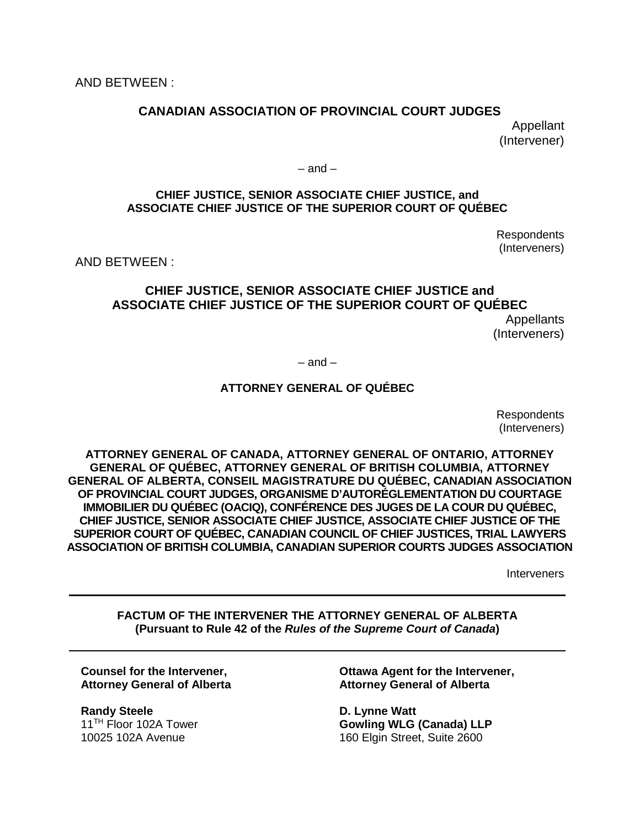### CANADIAN ASSOCIATION OF PROVINCIAL COURT JUDGES **CANADIAN ASSOCIATION OF PROVINCIAL COURT JUDGES** Appellant Appellant (Intervener) (Intervener)

— and — – and –

#### CHIEF JUSTICE, SENIOR ASSOCIATE CHIEF JUSTICE, and **CHIEF JUSTICE, SENIOR ASSOCIATE CHIEF JUSTICE, and** ASSOCIATE CHIEF JUSTICE OF THE SUPERIOR COURT OF QUEBEC **ASSOCIATE CHIEF JUSTICE OF THE SUPERIOR COURT OF QUÉBEC**

Respondents Respondents (Interveners) (Interveners)

AND BETWEEN : AND BETWEEN :

## CHIEF JUSTICE, SENIOR ASSOCIATE CHIEF JUSTICE and **CHIEF JUSTICE, SENIOR ASSOCIATE CHIEF JUSTICE and** ASSOCIATE CHIEF JUSTICE OF THE SUPERIOR COURT OF QUEBEC **ASSOCIATE CHIEF JUSTICE OF THE SUPERIOR COURT OF QUÉBEC** Appellants Appellants

(Interveners) (Interveners)

— and — – and –

### ATTORNEY GENERAL OF QUEBEC **ATTORNEY GENERAL OF QUÉBEC**

Respondents Respondents (Interveners) (Interveners)

ATTORNEY GENERAL OF CANADA, ATTORNEY GENERAL OF ONTARIO, ATTORNEY **ATTORNEY GENERAL OF CANADA, ATTORNEY GENERAL OF ONTARIO, ATTORNEY**  GENERAL OF QUEBEC, ATTORNEY GENERAL OF BRITISH COLUMBIA, ATTORNEY **GENERAL OF QUÉBEC, ATTORNEY GENERAL OF BRITISH COLUMBIA, ATTORNEY**  GENERAL OF ALBERTA, CONSEIL MAGISTRATURE DU QUEBEC, CANADIAN ASSOCIATION **GENERAL OF ALBERTA, CONSEIL MAGISTRATURE DU QUÉBEC, CANADIAN ASSOCIATION**  OF PROVINCIAL COURT JUDGES, ORGANISME D'AUTOREGLEMENTATION DU COURTAGE **OF PROVINCIAL COURT JUDGES, ORGANISME D'AUTORÉGLEMENTATION DU COURTAGE**  IMMOBILIER DU QUEBEC (OACIQ), CONFERENCE DES JUGES DE LA COUR DU QUEBEC, **IMMOBILIER DU QUÉBEC (OACIQ), CONFÉRENCE DES JUGES DE LA COUR DU QUÉBEC,**  CHIEF JUSTICE, SENIOR ASSOCIATE CHIEF JUSTICE, ASSOCIATE CHIEF JUSTICE OF THE **CHIEF JUSTICE, SENIOR ASSOCIATE CHIEF JUSTICE, ASSOCIATE CHIEF JUSTICE OF THE**  SUPERIOR COURT OF QUEBEC, CANADIAN COUNCIL OF CHIEF JUSTICES, TRIAL LAWYERS **SUPERIOR COURT OF QUÉBEC, CANADIAN COUNCIL OF CHIEF JUSTICES, TRIAL LAWYERS**  ASSOCIATION OF BRITISH COLUMBIA, CANADIAN SUPERIOR COURTS JUDGES ASSOCIATION **ASSOCIATION OF BRITISH COLUMBIA, CANADIAN SUPERIOR COURTS JUDGES ASSOCIATION**

Interveners Interveners

FACTUM OF THE INTERVENER THE ATTORNEY GENERAL OF ALBERTA **FACTUM OF THE INTERVENER THE ATTORNEY GENERAL OF ALBERTA** (Pursuant to Rule 42 of the Rules of the Supreme Court of Canada) **(Pursuant to Rule 42 of the** *Rules of the Supreme Court of Canada***)**

Counsel for the Intervener, **Counsel for the Intervener,** Attorney General of Alberta **Attorney General of Alberta**

Randy Steele **Randy Steele** 11TH Floor 102A Tower 11TH Floor 102A Tower 10025 102A Avenue 10025 102A Avenue

Ottawa Agent for the Intervener, **Ottawa Agent for the Intervener,** Attorney General of Alberta **Attorney General of Alberta**

D. Lynne Watt **D. Lynne Watt** Gowling WLG (Canada) LLP **Gowling WLG (Canada) LLP** 160 Elgin Street, Suite 2600 160 Elgin Street, Suite 2600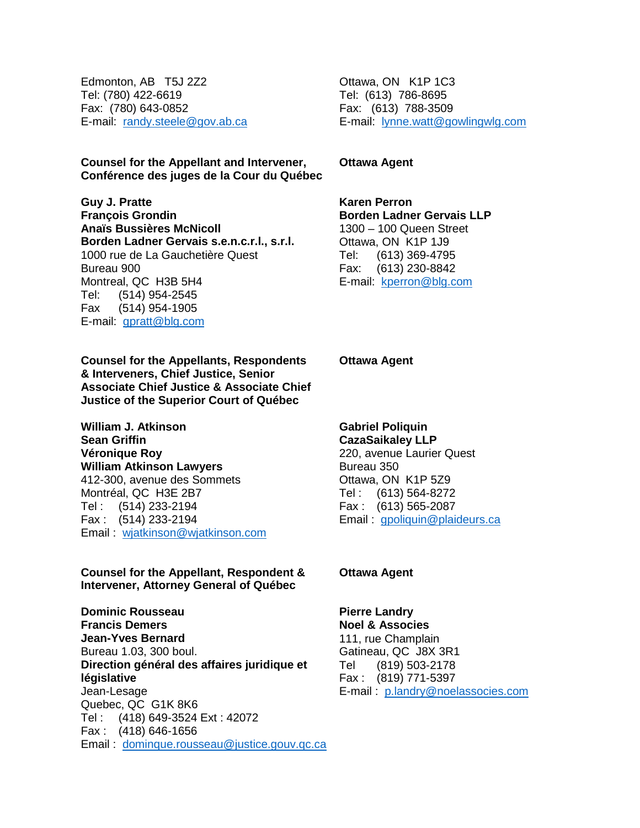Edmonton, AB T5J 2Z2 Edmonton, AB T5J 2Z2 Tel: (780) 422-6619 Tel: (780) 422-6619 Fax: (780) 643-0852 Fax: (780) 643-0852 E-mail: randy.steele@gov.ab.ca

Counsel for the Appellant and Intervener, Ottawa Agent **Counsel for the Appellant and Intervener,** Conference des juges de la Cour du Qu6bec **Conférence des juges de la Cour du Québec**

Guy J. Pratte **Guy J. Pratte** Francois Grondin **François Grondin** Andis Bussieres McNicoll **Anaïs Bussières McNicoll** Borden Ladner Gervais s.e.n.c.r.l., s.r.l. **Borden Ladner Gervais s.e.n.c.r.l., s.r.l.** 1000 rue de La Gauchetière Quest Bureau 900 Bureau 900 Montreal, QC H3B 5H4 Montreal, QC H3B 5H4 Tel: (514) 954-2545 Tel: (514) 954-2545 Fax (514) 954-1905 Fax (514) 954-1905 E-mail: **gpratt@blg.com** 

Counsel for the Appellants, Respondents **Counsel for the Appellants, Respondents**  & Interveners, Chief Justice, Senior **& Interveners, Chief Justice, Senior**  Associate Chief Justice & Associate Chief **Associate Chief Justice & Associate Chief**  Justice of the Superior Court of Quebec **Justice of the Superior Court of Québec**

William J. Atkinson **William J. Atkinson** Sean Griffin **Sean Griffin** Veronique Roy **Véronique Roy** William Atkinson Lawyers **William Atkinson Lawyers** 412-300, avenue des Sommets 412-300, avenue des Sommets Montréal, QC H3E 2B7 Tel : (514) 233-2194 Tel : (514) 233-2194 Fax : (514) 233-2194 Fax : (514) 233-2194 Email : wjatkinson@wjatkinson.com

Counsel for the Appellant, Respondent & **Counsel for the Appellant, Respondent &**  Intervener, Attorney General of Quebec **Intervener, Attorney General of Québec**

Dominic Rousseau **Dominic Rousseau** Francis Demers **Francis Demers** Jean-Yves Bernard **Jean-Yves Bernard** Bureau 1.03, 300 boul. Bureau 1.03, 300 boul. Direction general des affaires juridique et **Direction général des affaires juridique et**  legislative **législative** Jean-Lesage Jean-Lesage Quebec, QC G1K 8K6 Quebec, QC G1K 8K6 Tel : (418) 649-3524 Ext : 42072 Tel : (418) 649-3524 Ext : 42072 Fax : (418) 646-1656 Fax : (418) 646-1656 Email : [dominque.rousseau@justice.gouv.qc.ca](mailto:dominque.rousseau@justice.gouv.qc.ca)  Email : dominque.rousseau@justice.gouv.qc.ca Ottawa, ON K1P 1C3 Ottawa, ON K1P 1C3 Tel: (613) 786-8695 Tel: (613) 786-8695 Fax: (613) 788-3509 Fax: (613) 788-3509 E-mail: [lynne.watt@gowlingwlg.com](mailto:lynne.watt@gowlingwlg.com)  E-mail: lynne.watt@gowlingwlg.com

**Ottawa Agent**

Karen Perron **Karen Perron** Borden Ladner Gervais LLP **Borden Ladner Gervais LLP** 1300 — 100 Queen Street 1300 – 100 Queen Street Ottawa, ON K1P 1J9 Ottawa, ON K1P 1J9 Tel: (613) 369-4795 Tel: (613) 369-4795 Fax: (613) 230-8842 Fax: (613) 230-8842 E-mail: kperron@blg.com

Ottawa Agent **Ottawa Agent**

Gabriel Poliquin **Gabriel Poliquin** CazaSaikaley LLP **CazaSaikaley LLP** 220, avenue Laurier Quest 220, avenue Laurier Quest Bureau 350 Bureau 350 Ottawa, ON KIP 5Z9 Ottawa, ON K1P 5Z9 Tel : (613) 564-8272 Tel : (613) 564-8272 Fax : (613) 565-2087 Fax : (613) 565-2087 Email: **gpoliquin@plaideurs.ca** 

#### Ottawa Agent **Ottawa Agent**

Pierre Landry **Pierre Landry** Noel & Associes **Noel & Associes** 111, rue Champlain 111, rue Champlain Gatineau, QC J8X 3R1 Gatineau, QC J8X 3R1 Tel (819) 503-2178 Tel (819) 503-2178 Fax : (819) 771-5397 Fax : (819) 771-5397 E-mail: p.landry@noelassocies.com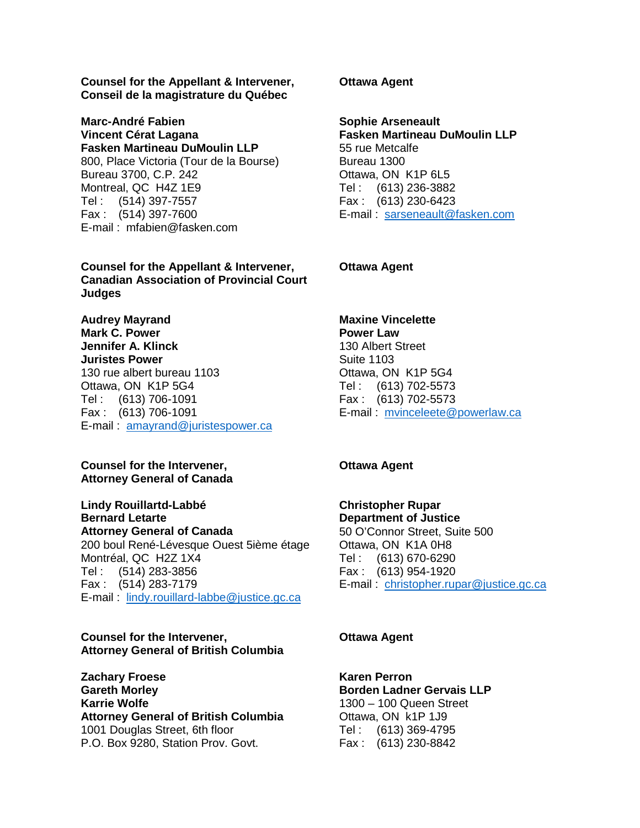Counsel for the Appellant & Intervener, **Counsel for the Appellant & Intervener,** Conseil de la magistrature du Quebec **Conseil de la magistrature du Québec**

Marc-Andre Fabien **Marc-André Fabien** Vincent Cerat Lagana **Vincent Cérat Lagana** Fasken Martineau DuMoulin LLP **Fasken Martineau DuMoulin LLP** 800, Place Victoria (Tour de la Bourse) 800, Place Victoria (Tour de la Bourse) Bureau 3700, C.P. 242 Bureau 3700, C.P. 242 Montreal, QC H4Z 1E9 Montreal, QC H4Z 1E9 Tel : (514) 397-7557 Tel : (514) 397-7557 Fax : (514) 397-7600 Fax : (514) 397-7600 E-mail : mfabien@fasken.com E-mail : mfabien@fasken.com

Counsel for the Appellant & Intervener, **Counsel for the Appellant & Intervener,** Canadian Association of Provincial Court **Canadian Association of Provincial Court**  Judges **Judges**

Audrey Mayrand **Audrey Mayrand** Mark C. Power **Mark C. Power** Jennifer A. Klinck **Jennifer A. Klinck** Juristes Power **Juristes Power** 130 rue albert bureau 1103 130 rue albert bureau 1103 Ottawa, ON K1P 5G4 Ottawa, ON K1P 5G4 Tel : (613) 706-1091 Tel : (613) 706-1091 Fax : (613) 706-1091 Fax : (613) 706-1091 E-mail : [amayrand@juristespower.ca](mailto:amayrand@juristespower.ca)  E-mail : amayrand@juristespower.ca

#### Counsel for the Intervener, **Counsel for the Intervener,**  Attorney General of Canada **Attorney General of Canada**

Lindy Rouillartd-Labbe **Lindy Rouillartd-Labbé** Bernard Letarte **Bernard Letarte** Attorney General of Canada **Attorney General of Canada** 200 boul René-Lévesque Ouest 5ième étage Montreal, QC H2Z 1X4 Montréal, QC H2Z 1X4 Tel : (514) 283-3856 Tel : (514) 283-3856 Fax : (514) 283-7179 Fax : (514) 283-7179 E-mail : [lindy.rouillard-labbe@justice.gc.ca](mailto:lindy.rouillard-labbe@justice.gc.ca)  E-mail : lindy.rouillard-labbe@justice.gc.ca

#### Counsel for the Intervener, **Counsel for the Intervener,**  Attorney General of British Columbia **Attorney General of British Columbia**

Zachary Froese **Zachary Froese** Gareth Morley **Gareth Morley** Karrie Wolfe **Karrie Wolfe** Attorney General of British Columbia **Attorney General of British Columbia** 1001 Douglas Street, 6th floor 1001 Douglas Street, 6th floor P.O. Box 9280, Station Prov. Govt. P.O. Box 9280, Station Prov. Govt.

Ottawa Agent **Ottawa Agent**

Sophie Arseneault **Sophie Arseneault** Fasken Martineau DuMoulin LLP **Fasken Martineau DuMoulin LLP** 55 rue Metcalfe 55 rue Metcalfe Bureau 1300 Bureau 1300 Ottawa, ON KIP 6L5 Ottawa, ON K1P 6L5 Tel : (613) 236-3882 Tel : (613) 236-3882 Fax : (613) 230-6423 Fax : (613) 230-6423 E-mail: sarseneault@fasken.com

Ottawa Agent **Ottawa Agent**

Maxine Vincelette **Maxine Vincelette** Power Law **Power Law** 130 Albert Street 130 Albert Street Suite 1103 Suite 1103 Ottawa, ON K1P 5G4 Ottawa, ON K1P 5G4 Tel : (613) 702-5573 Tel : (613) 702-5573 Fax : (613) 702-5573 Fax : (613) 702-5573 E-mail: mvinceleete@powerlaw.ca

#### Ottawa Agent **Ottawa Agent**

Christopher Rupar **Christopher Rupar** Department of Justice **Department of Justice** 50 O'Connor Street, Suite 500 50 O'Connor Street, Suite 500 Ottawa, ON K1A OH8 Ottawa, ON K1A 0H8 Tel : (613) 670-6290 Tel : (613) 670-6290

Fax : (613) 954-1920 Fax : (613) 954-1920 E-mail: christopher.rupar@justice.gc.ca

#### Ottawa Agent **Ottawa Agent**

Karen Perron **Karen Perron** Borden Ladner Gervais LLP **Borden Ladner Gervais LLP** 1300 — 100 Queen Street 1300 – 100 Queen Street Ottawa, ON k1P 1J9 Ottawa, ON k1P 1J9 Tel : (613) 369-4795 Tel : (613) 369-4795 Fax : (613) 230-8842 Fax : (613) 230-8842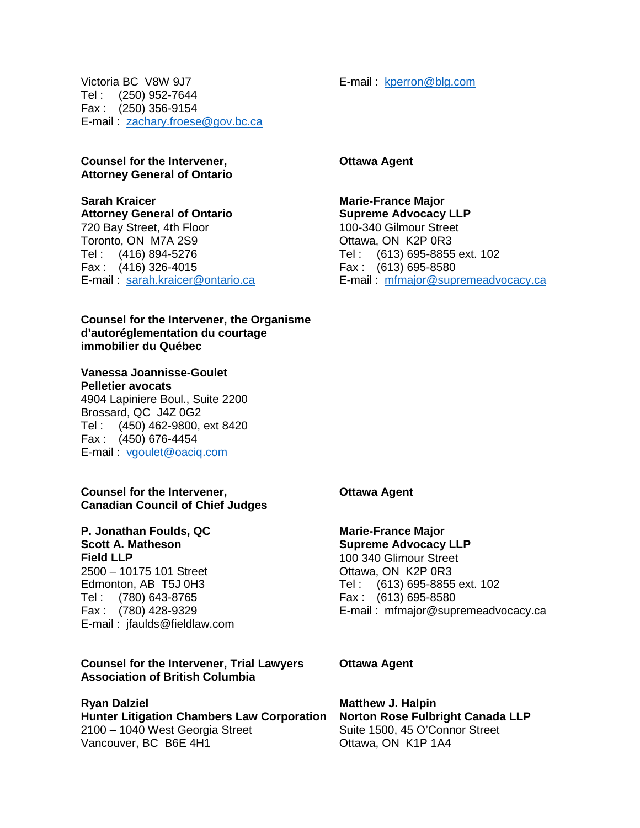E-mail : kperron@blg.com

Victoria BC V8W 9J7 Victoria BC V8W 9J7 Tel : (250) 952-7644 Tel : (250) 952-7644 Fax : (250) 356-9154 Fax : (250) 356-9154 E-mail: zachary.froese@gov.bc.ca

#### Counsel for the Intervener, **Counsel for the Intervener,**  Attorney General of Ontario **Attorney General of Ontario**

#### Sarah Kraicer **Sarah Kraicer** Attorney General of Ontario **Attorney General of Ontario** 720 Bay Street, 4th Floor 720 Bay Street, 4th Floor Toronto, ON M7A 2S9 Toronto, ON M7A 2S9 Tel : (416) 894-5276 Tel : (613) 695-8855 ext. 102 Tel : (613) 695-8855 ext. 102 Fax : (416) 326-4015 Fax : (613) 695-8580 Fax : (613) 695-8580 E-mail: sarah.kraicer@ontario.ca Tel : (416) 894-5276 Fax : (416) 326-4015

#### Counsel for the Intervener, the Organisme **Counsel for the Intervener, the Organisme**  d'autoreglementation du courtage **d'autoréglementation du courtage**  immobilier du Quebec **immobilier du Québec**

### Vanessa Joannisse-Goulet **Vanessa Joannisse-Goulet**

Pelletier avocats **Pelletier avocats** 4904 Lapiniere Boul., Suite 2200 4904 Lapiniere Boul., Suite 2200 Brossard, QC J4Z 0G2 Brossard, QC J4Z 0G2 Tel : (450) 462-9800, ext 8420 Tel : (450) 462-9800, ext 8420 Fax : (450) 676-4454 Fax : (450) 676-4454 E-mail : [vgoulet@oaciq.com](mailto:vgoulet@oaciq.com)  E-mail : vgoulet@oaciq.com

#### Counsel for the Intervener, **Counsel for the Intervener,**  Canadian Council of Chief Judges **Canadian Council of Chief Judges**

P. Jonathan Foulds, QC **P. Jonathan Foulds, QC** Scott A. Matheson **Scott A. Matheson** Field LLP **Field LLP** 2500 — 10175 101 Street 2500 – 10175 101 Street Edmonton, AB T5J OH3 Edmonton, AB T5J 0H3 Tel : (780) 643-8765 Tel : (780) 643-8765 Fax : (780) 428-9329 Fax : (780) 428-9329 E-mail : jfaulds@fieldlaw.com E-mail : jfaulds@fieldlaw.com

#### Counsel for the Intervener, Trial Lawyers **Counsel for the Intervener, Trial Lawyers**  Association of British Columbia **Association of British Columbia**

Ryan Dalziel **Ryan Dalziel** Hunter Litigation Chambers Law Corporation **Hunter Litigation Chambers Law Corporation** 2100 — 1040 West Georgia Street 2100 – 1040 West Georgia Street Vancouver, BC B6E 4H1 Vancouver, BC B6E 4H1

Ottawa Agent **Ottawa Agent**

# Marie-France Major **Marie-France Major**

Supreme Advocacy LLP **Supreme Advocacy LLP** 100-340 Gilmour Street 100-340 Gilmour Street Ottawa, ON K2P OR3 Ottawa, ON K2P 0R3 E-mail: mfmajor@supremeadvocacy.ca

Ottawa Agent **Ottawa Agent**

### Marie-France Major **Marie-France Major**

Supreme Advocacy LLP **Supreme Advocacy LLP** 100 340 Glimour Street 100 340 Glimour Street Ottawa, ON K2P OR3 Ottawa, ON K2P 0R3 Tel : (613) 695-8855 ext. 102 Tel : (613) 695-8855 ext. 102 Fax : (613) 695-8580 Fax : (613) 695-8580 E-mail : mfmajor@supremeadvocacy.ca E-mail : mfmajor@supremeadvocacy.ca

Ottawa Agent **Ottawa Agent**

Matthew J. Halpin **Matthew J. Halpin** Norton Rose Fulbright Canada LLP **Norton Rose Fulbright Canada LLP** Suite 1500, 45 O'Connor Street Suite 1500, 45 O'Connor Street Ottawa, ON K1P 1A4 Ottawa, ON K1P 1A4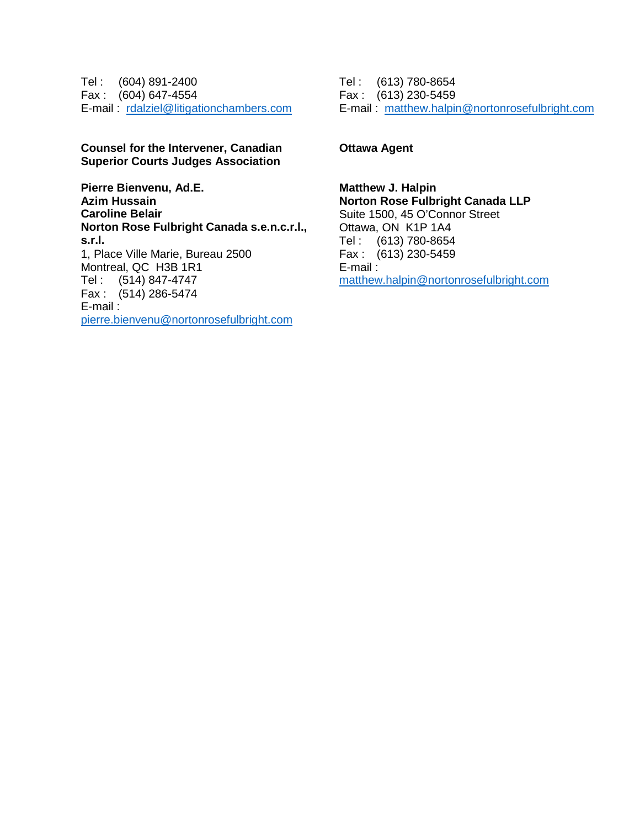Tel : (604) 891-2400 Tel : (613) 780-8654 Tel : (613) 780-8654 Fax : (604) 647-4554 Fax : (613) 230-5459 Fax : (613) 230-5459 E-mail : [rdalziel@litigationchambers.com](mailto:rdalziel@litigationchambers.com)  E-mail : rdalziel@litigationchambers.com Tel : (604) 891-2400 Fax : (604) 647-4554

#### Counsel for the Intervener, Canadian **Counsel for the Intervener, Canadian**  Superior Courts Judges Association **Superior Courts Judges Association**

Pierre Bienvenu, Ad.E. **Pierre Bienvenu, Ad.E.** Azim Hussain **Azim Hussain** Caroline Belair **Caroline Belair** Norton Rose Fulbright Canada s.e.n.c.r.l., **Norton Rose Fulbright Canada s.e.n.c.r.l.,**  s.r.l. **s.r.l.** 1, Place Ville Marie, Bureau 2500 1, Place Ville Marie, Bureau 2500 Montreal, QC H3B 1R1 Montreal, QC H3B 1R1 Tel : (514) 847-4747 Tel : (514) 847-4747 Fax : (514) 286-5474 Fax : (514) 286-5474 E-mail : E-mail : [pierre.bienvenu@nortonrosefulbright.com](mailto:pierre.bienvenu@nortonrosefulbright.com)  pierre.bienvenu@nortonrosefulbright.com

E-mail : [matthew.halpin@nortonrosefulbright.com](mailto:matthew.halpin@nortonrosefulbright.com)  E-mail : matthew.halpin@nortonrosefulbright.com

#### Ottawa Agent **Ottawa Agent**

Matthew J. Halpin **Matthew J. Halpin** Norton Rose Fulbright Canada LLP **Norton Rose Fulbright Canada LLP** Suite 1500, 45 O'Connor Street Suite 1500, 45 O'Connor Street Ottawa, ON K1P 1A4 Ottawa, ON K1P 1A4 Tel : (613) 780-8654 Tel : (613) 780-8654 Fax : (613) 230-5459 Fax : (613) 230-5459 E-mail : E-mail : [matthew.halpin@nortonrosefulbright.com](mailto:matthew.halpin@nortonrosefulbright.com)  matthew.halpin@nortonrosefulbright.com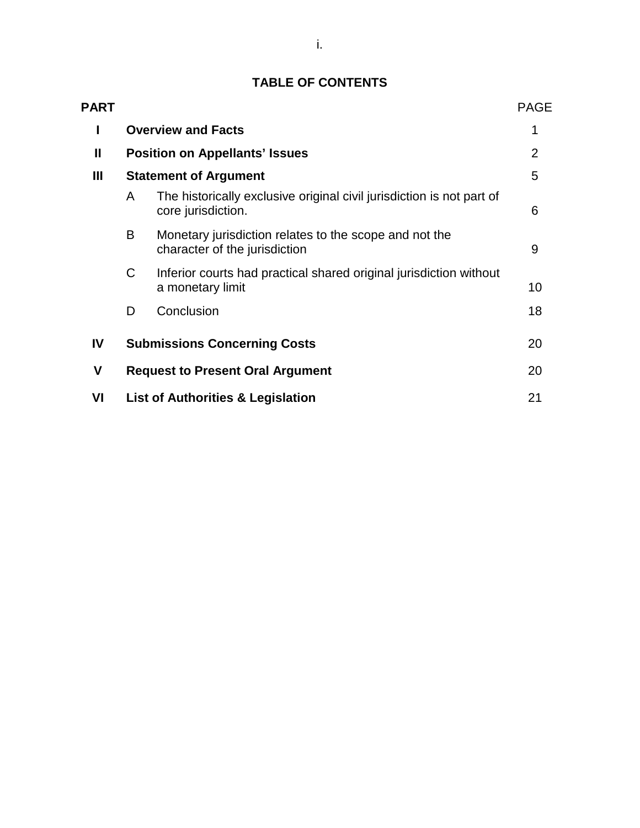#### TABLE OF CONTENTS **TABLE OF CONTENTS**

| <b>PART</b>  |                                              |                                                                                             | <b>PAGE</b>    |
|--------------|----------------------------------------------|---------------------------------------------------------------------------------------------|----------------|
| I            | <b>Overview and Facts</b>                    |                                                                                             |                |
| $\mathbf{I}$ | <b>Position on Appellants' Issues</b>        |                                                                                             | $\overline{2}$ |
| Ш            | <b>Statement of Argument</b>                 |                                                                                             | 5              |
|              | A                                            | The historically exclusive original civil jurisdiction is not part of<br>core jurisdiction. | 6              |
|              | B                                            | Monetary jurisdiction relates to the scope and not the<br>character of the jurisdiction     | 9              |
|              | C                                            | Inferior courts had practical shared original jurisdiction without<br>a monetary limit      | 10             |
|              | D                                            | Conclusion                                                                                  | 18             |
| IV           | <b>Submissions Concerning Costs</b>          |                                                                                             | 20             |
| V            | <b>Request to Present Oral Argument</b>      |                                                                                             | 20             |
| VI           | <b>List of Authorities &amp; Legislation</b> |                                                                                             |                |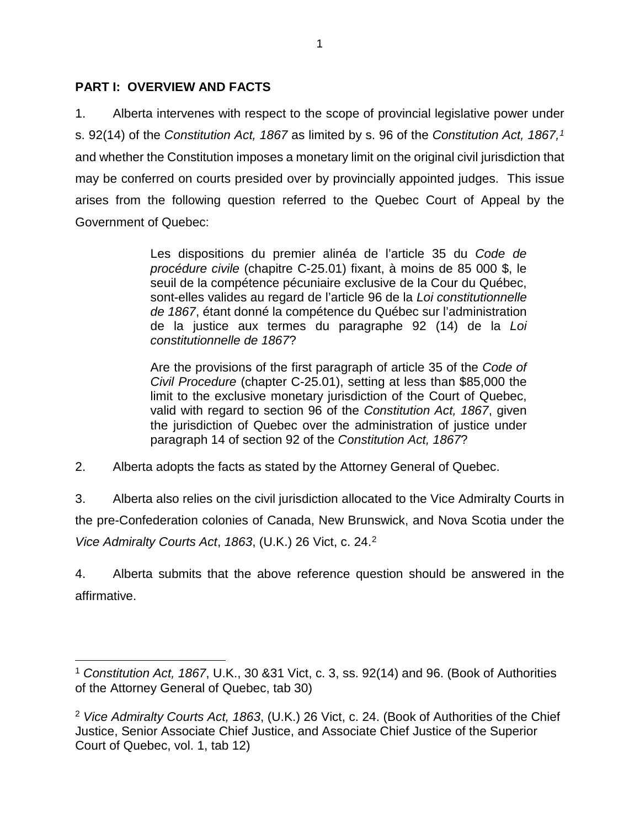### PART I: OVERVIEW AND FACTS **PART I: OVERVIEW AND FACTS**

1. Alberta intervenes with respect to the scope of provincial legislative power under 1. Alberta intervenes with respect to the scope of provincial legislative power under s. 92(14) of the Constitution Act, 1867 as limited by s. 96 of the Constitution Act, 1867,[1](#page-7-0) s. 92(14) of the *Constitution Act, 1867* as limited by s. 96 of the *Constitution Act, 1867,1* and whether the Constitution imposes a monetary limit on the original civil jurisdiction that and whether the Constitution imposes a monetary limit on the original civil jurisdiction that may be conferred on courts presided over by provincially appointed judges. This issue may be conferred on courts presided over by provincially appointed judges. This issue arises from the following question referred to the Quebec Court of Appeal by the arises from the following question referred to the Quebec Court of Appeal by the Government of Quebec: Government of Quebec:

> Les dispositions du premier alinéa de l'article 35 du Code de procedure civile (chapitre C-25.01) fixant, a moins de 85 000 \$, le *procédure civile* (chapitre C-25.01) fixant, à moins de 85 000 \$, le seuil de la compétence pécuniaire exclusive de la Cour du Québec, sont-elles valides au regard de l'article 96 de la Loi constitutionnelle de 1867, étant donné la compétence du Québec sur l'administration de la justice aux termes du paragraphe 92 (14) de la Loi de la justice aux termes du paragraphe 92 (14) de la *Loi*  constitutionnelle de 1867? *constitutionnelle de 1867*?

> Are the provisions of the first paragraph of article 35 of the Code of Are the provisions of the first paragraph of article 35 of the *Code of*  Civil Procedure (chapter C-25.01), setting at less than \$85,000 the *Civil Procedure* (chapter C-25.01), setting at less than \$85,000 the limit to the exclusive monetary jurisdiction of the Court of Quebec, limit to the exclusive monetary jurisdiction of the Court of Quebec, valid with regard to section 96 of the Constitution Act, 1867, given valid with regard to section 96 of the *Constitution Act, 1867*, given the jurisdiction of Quebec over the administration of justice under the jurisdiction of Quebec over the administration of justice under paragraph 14 of section 92 of the Constitution Act, 1867? paragraph 14 of section 92 of the *Constitution Act, 1867*?

2. Alberta adopts the facts as stated by the Attorney General of Quebec. 2. Alberta adopts the facts as stated by the Attorney General of Quebec.

3. Alberta also relies on the civil jurisdiction allocated to the Vice Admiralty Courts in 3. Alberta also relies on the civil jurisdiction allocated to the Vice Admiralty Courts in the pre-Confederation colonies of Canada, New Brunswick, and Nova Scotia under the the pre-Confederation colonies of Canada, New Brunswick, and Nova Scotia under the Vice Admiralty Courts Act, 1863, (U.K.) 26 Vict, c. 24.2 *Vice Admiralty Courts Act*, *1863*, (U.K.) 26 Vict, c. 24.[2](#page-7-1)

4. Alberta submits that the above reference question should be answered in the 4. Alberta submits that the above reference question should be answered in the affirmative. affirmative.

<span id="page-7-0"></span>Constitution Act, 1867, U.K., 30 &31 Vict, c. 3, ss. 92(14) and 96. (Book of Authorities 1 *Constitution Act, 1867*, U.K., 30 &31 Vict, c. 3, ss. 92(14) and 96. (Book of Authorities of the Attorney General of Quebec, tab 30) of the Attorney General of Quebec, tab 30)

<span id="page-7-1"></span><sup>2</sup> Vice Admiralty Courts Act, 1863, (U.K.) 26 Vict, c. 24. (Book of Authorities of the Chief <sup>2</sup> *Vice Admiralty Courts Act, 1863*, (U.K.) 26 Vict, c. 24. (Book of Authorities of the Chief Justice, Senior Associate Chief Justice, and Associate Chief Justice of the Superior Justice, Senior Associate Chief Justice, and Associate Chief Justice of the Superior Court of Quebec, vol. 1, tab 12) Court of Quebec, vol. 1, tab 12)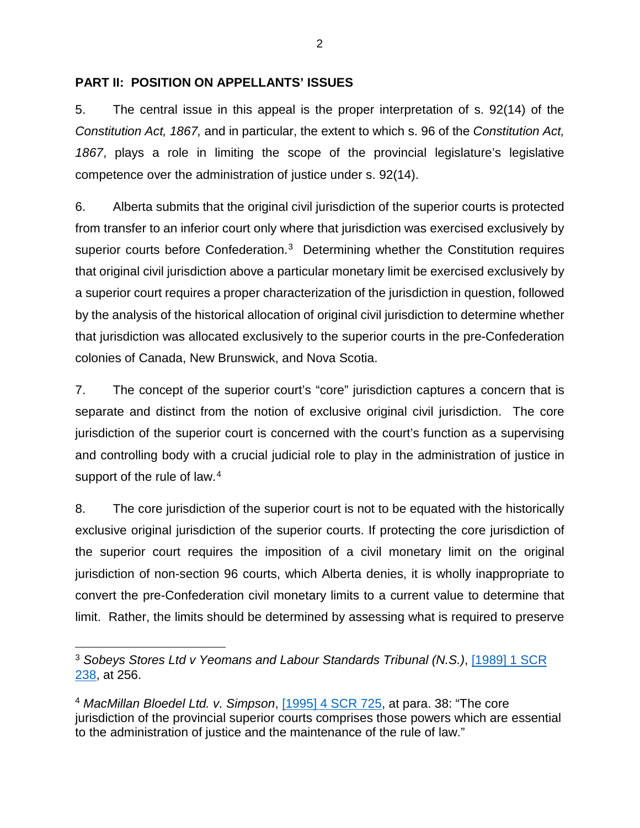### PART II: POSITION ON APPELLANTS' ISSUES **PART II: POSITION ON APPELLANTS' ISSUES**

5. The central issue in this appeal is the proper interpretation of s. 92(14) of the 5. The central issue in this appeal is the proper interpretation of s. 92(14) of the Constitution Act, 1867, and in particular, the extent to which s. 96 of the Constitution Act, *Constitution Act, 1867,* and in particular, the extent to which s. 96 of the *Constitution Act,*  1867, plays a role in limiting the scope of the provincial legislature's legislative *1867*, plays a role in limiting the scope of the provincial legislature's legislative competence over the administration of justice under s. 92(14). competence over the administration of justice under s. 92(14).

6. Alberta submits that the original civil jurisdiction of the superior courts is protected 6. Alberta submits that the original civil jurisdiction of the superior courts is protected from transfer to an inferior court only where that jurisdiction was exercised exclusively by from transfer to an inferior court only where that jurisdiction was exercised exclusively by superior courts before Confederation.<sup>[3](#page-8-0)</sup> Determining whether the Constitution requires that original civil jurisdiction above a particular monetary limit be exercised exclusively by that original civil jurisdiction above a particular monetary limit be exercised exclusively by a superior court requires a proper characterization of the jurisdiction in question, followed a superior court requires a proper characterization of the jurisdiction in question, followed by the analysis of the historical allocation of original civil jurisdiction to determine whether by the analysis of the historical allocation of original civil jurisdiction to determine whether that jurisdiction was allocated exclusively to the superior courts in the pre-Confederation that jurisdiction was allocated exclusively to the superior courts in the pre-Confederation colonies of Canada, New Brunswick, and Nova Scotia. colonies of Canada, New Brunswick, and Nova Scotia.

7. The concept of the superior court's "core" jurisdiction captures a concern that is 7. The concept of the superior court's "core" jurisdiction captures a concern that is separate and distinct from the notion of exclusive original civil jurisdiction. The core separate and distinct from the notion of exclusive original civil jurisdiction. The core jurisdiction of the superior court is concerned with the court's function as a supervising jurisdiction of the superior court is concerned with the court's function as a supervising and controlling body with a crucial judicial role to play in the administration of justice in and controlling body with a crucial judicial role to play in the administration of justice in support of the rule of law.<sup>[4](#page-8-1)</sup>

8. The core jurisdiction of the superior court is not to be equated with the historically 8. The core jurisdiction of the superior court is not to be equated with the historically exclusive original jurisdiction of the superior courts. If protecting the core jurisdiction of exclusive original jurisdiction of the superior courts. If protecting the core jurisdiction of the superior court requires the imposition of a civil monetary limit on the original the superior court requires the imposition of a civil monetary limit on the original jurisdiction of non-section 96 courts, which Alberta denies, it is wholly inappropriate to jurisdiction of non-section 96 courts, which Alberta denies, it is wholly inappropriate to convert the pre-Confederation civil monetary limits to a current value to determine that convert the pre-Confederation civil monetary limits to a current value to determine that limit. Rather, the limits should be determined by assessing what is required to preserve limit. Rather, the limits should be determined by assessing what is required to preserve

<span id="page-8-0"></span><sup>3</sup> Sobeys Stores Ltd v Yeomans and Labour Standards Tribunal (N.S.), [\[1989\] 1 SCR](https://www.canlii.org/en/ca/scc/doc/1989/1989canlii116/1989canlii116.pdf)  3 *Sobeys Stores Ltd v Yeomans and Labour Standards Tribunal (N.S.)*, [1989] 1 SCR [238,](https://www.canlii.org/en/ca/scc/doc/1989/1989canlii116/1989canlii116.pdf) at 256. 238, at 256.

<span id="page-8-1"></span><sup>4</sup> MacMillan Bloedel Ltd. v. Simpson, [11995\] 4 SCR 725,](https://www.canlii.org/en/ca/scc/doc/1995/1995canlii57/1995canlii57.pdf) at para. 38: "The core <sup>4</sup> *MacMillan Bloedel Ltd. v. Simpson*, [1995] 4 SCR 725, at para. 38: "The core jurisdiction of the provincial superior courts comprises those powers which are essential jurisdiction of the provincial superior courts comprises those powers which are essential to the administration of justice and the maintenance of the rule of law." to the administration of justice and the maintenance of the rule of law."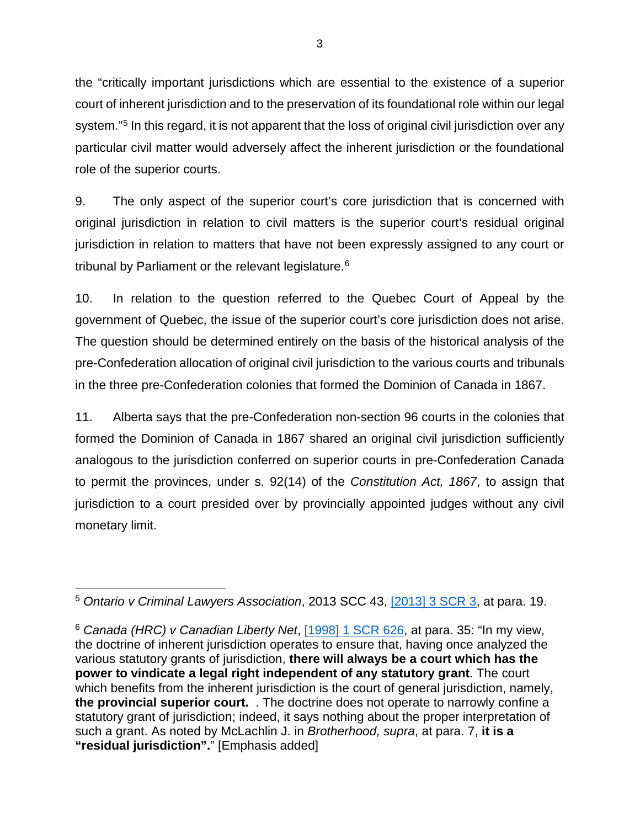the "critically important jurisdictions which are essential to the existence of a superior the "critically important jurisdictions which are essential to the existence of a superior court of inherent jurisdiction and to the preservation of its foundational role within our legal court of inherent jurisdiction and to the preservation of its foundational role within our legal system."<sup>[5](#page-9-0)</sup> In this regard, it is not apparent that the loss of original civil jurisdiction over any particular civil matter would adversely affect the inherent jurisdiction or the foundational particular civil matter would adversely affect the inherent jurisdiction or the foundational role of the superior courts. role of the superior courts.

9. The only aspect of the superior court's core jurisdiction that is concerned with 9. The only aspect of the superior court's core jurisdiction that is concerned with original jurisdiction in relation to civil matters is the superior court's residual original original jurisdiction in relation to civil matters is the superior court's residual original jurisdiction in relation to matters that have not been expressly assigned to any court or jurisdiction in relation to matters that have not been expressly assigned to any court or tribunal by Parliament or the relevant legislature.<sup>[6](#page-9-1)</sup>

10. In relation to the question referred to the Quebec Court of Appeal by the 10. In relation to the question referred to the Quebec Court of Appeal by the government of Quebec, the issue of the superior court's core jurisdiction does not arise. government of Quebec, the issue of the superior court's core jurisdiction does not arise. The question should be determined entirely on the basis of the historical analysis of the The question should be determined entirely on the basis of the historical analysis of the pre-Confederation allocation of original civil jurisdiction to the various courts and tribunals pre-Confederation allocation of original civil jurisdiction to the various courts and tribunals in the three pre-Confederation colonies that formed the Dominion of Canada in 1867. in the three pre-Confederation colonies that formed the Dominion of Canada in 1867.

11. Alberta says that the pre-Confederation non-section 96 courts in the colonies that 11. Alberta says that the pre-Confederation non-section 96 courts in the colonies that formed the Dominion of Canada in 1867 shared an original civil jurisdiction sufficiently formed the Dominion of Canada in 1867 shared an original civil jurisdiction sufficiently analogous to the jurisdiction conferred on superior courts in pre-Confederation Canada analogous to the jurisdiction conferred on superior courts in pre-Confederation Canada to permit the provinces, under s. 92(14) of the Constitution Act, 1867, to assign that to permit the provinces, under s. 92(14) of the *Constitution Act, 1867*, to assign that jurisdiction to a court presided over by provincially appointed judges without any civil jurisdiction to a court presided over by provincially appointed judges without any civil monetary limit. monetary limit.

<span id="page-9-0"></span><sup>5</sup> Ontario v Criminal Lawyers Association, 2013 SCC 43, [12013\] 3 SCR 3,](https://www.canlii.org/en/ca/scc/doc/2013/2013scc43/2013scc43.pdf) at para. 19. 5 *Ontario v Criminal Lawyers Association*, 2013 SCC 43, [2013] 3 SCR 3, at para. 19.

<span id="page-9-1"></span><sup>&</sup>lt;sup>6</sup> Canada (HRC) v Canadian Liberty Net, [1998] 1 SCR 626, at para. 35: "In my view, the doctrine of inherent jurisdiction operates to ensure that, having once analyzed the the doctrine of inherent jurisdiction operates to ensure that, having once analyzed the various statutory grants of jurisdiction, there will always be a court which has the various statutory grants of jurisdiction, **there will always be a court which has the**  power to vindicate a legal right independent of any statutory grant. The court **power to vindicate a legal right independent of any statutory grant**. The court which benefits from the inherent jurisdiction is the court of general jurisdiction, namely, which benefits from the inherent jurisdiction is the court of general jurisdiction, namely, the provincial superior court. . The doctrine does not operate to narrowly confine a **the provincial superior court.** . The doctrine does not operate to narrowly confine a statutory grant of jurisdiction; indeed, it says nothing about the proper interpretation of statutory grant of jurisdiction; indeed, it says nothing about the proper interpretation of such a grant. As noted by McLachlin J. in Brotherhood, supra, at para. 7, it is a such a grant. As noted by McLachlin J. in *Brotherhood, supra*, at para. 7, **it is a**  "residual jurisdiction"." [Emphasis added] **"residual jurisdiction".**" [Emphasis added]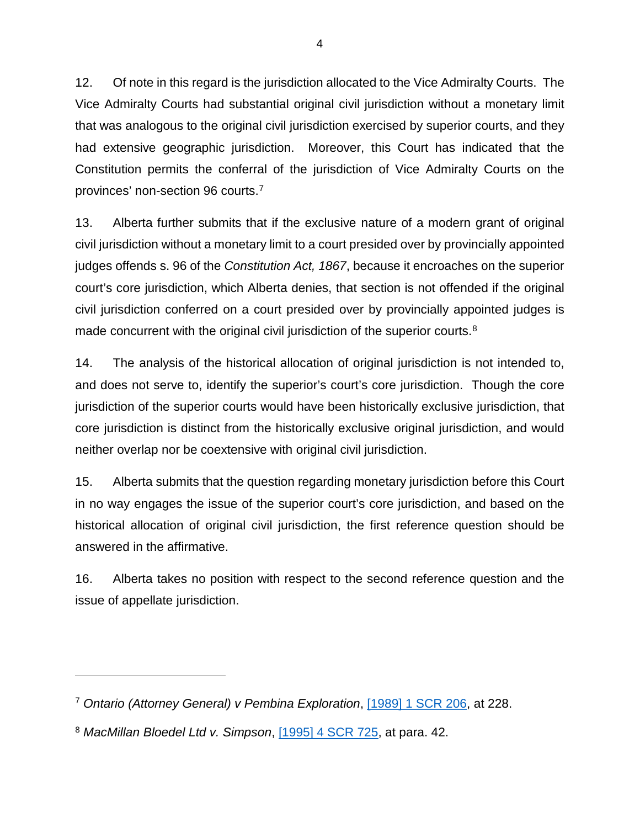12. Of note in this regard is the jurisdiction allocated to the Vice Admiralty Courts. The 12. Of note in this regard is the jurisdiction allocated to the Vice Admiralty Courts. The Vice Admiralty Courts had substantial original civil jurisdiction without a monetary limit Vice Admiralty Courts had substantial original civil jurisdiction without a monetary limit that was analogous to the original civil jurisdiction exercised by superior courts, and they that was analogous to the original civil jurisdiction exercised by superior courts, and they had extensive geographic jurisdiction. Moreover, this Court has indicated that the had extensive geographic jurisdiction. Moreover, this Court has indicated that the Constitution permits the conferral of the jurisdiction of Vice Admiralty Courts on the Constitution permits the conferral of the jurisdiction of Vice Admiralty Courts on the provinces' non-section 96 courts[.'](#page-10-0) provinces' non-section 96 courts.7

13. Alberta further submits that if the exclusive nature of a modern grant of original 13. Alberta further submits that if the exclusive nature of a modern grant of original civil jurisdiction without a monetary limit to a court presided over by provincially appointed civil jurisdiction without a monetary limit to a court presided over by provincially appointed judges offends s. 96 of the Constitution Act, 1867, because it encroaches on the superior judges offends s. 96 of the *Constitution Act, 1867*, because it encroaches on the superior court's core jurisdiction, which Alberta denies, that section is not offended if the original court's core jurisdiction, which Alberta denies, that section is not offended if the original civil jurisdiction conferred on a court presided over by provincially appointed judges is civil jurisdiction conferred on a court presided over by provincially appointed judges is made concurrent with the original civil jurisdiction of the superior courts.<sup>[8](#page-10-1)</sup>

14. The analysis of the historical allocation of original jurisdiction is not intended to, 14. The analysis of the historical allocation of original jurisdiction is not intended to, and does not serve to, identify the superior's court's core jurisdiction. Though the core jurisdiction of the superior courts would have been historically exclusive jurisdiction, that jurisdiction of the superior courts would have been historically exclusive jurisdiction, that core jurisdiction is distinct from the historically exclusive original jurisdiction, and would core jurisdiction is distinct from the historically exclusive original jurisdiction, and would neither overlap nor be coextensive with original civil jurisdiction. neither overlap nor be coextensive with original civil jurisdiction.

15. Alberta submits that the question regarding monetary jurisdiction before this Court 15. Alberta submits that the question regarding monetary jurisdiction before this Court in no way engages the issue of the superior court's core jurisdiction, and based on the in no way engages the issue of the superior court's core jurisdiction, and based on the historical allocation of original civil jurisdiction, the first reference question should be historical allocation of original civil jurisdiction, the first reference question should be answered in the affirmative. answered in the affirmative.

16. Alberta takes no position with respect to the second reference question and the 16. Alberta takes no position with respect to the second reference question and the issue of appellate jurisdiction. issue of appellate jurisdiction.

 $\overline{a}$ 

<span id="page-10-0"></span><sup>&</sup>lt;sup>7</sup> Ontario (Attorney General) v Pembina Exploration, [1989] 1 SCR 206, at 228.

<span id="page-10-1"></span><sup>8</sup> MacMillan Bloedel Ltd v. Simpson, [11995\] 4 SCR 725,](https://www.canlii.org/en/ca/scc/doc/1995/1995canlii57/1995canlii57.pdf) at para. 42. <sup>8</sup> *MacMillan Bloedel Ltd v. Simpson*, [1995] 4 SCR 725, at para. 42.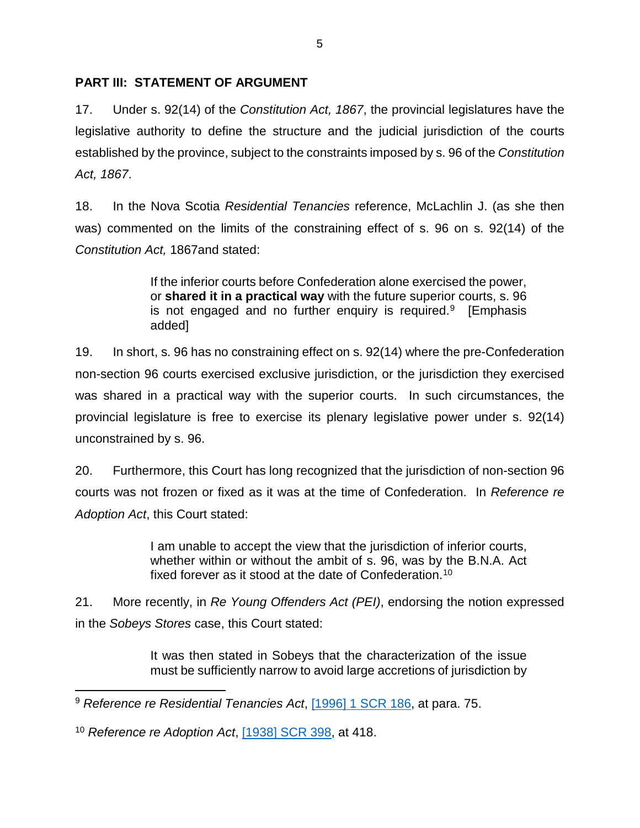### PART III: STATEMENT OF ARGUMENT **PART III: STATEMENT OF ARGUMENT**

17. Under s. 92(14) of the Constitution Act, 1867, the provincial legislatures have the 17. Under s. 92(14) of the *Constitution Act, 1867*, the provincial legislatures have the legislative authority to define the structure and the judicial jurisdiction of the courts legislative authority to define the structure and the judicial jurisdiction of the courts established by the province, subject to the constraints imposed by s. 96 of the Constitution established by the province, subject to the constraints imposed by s. 96 of the *Constitution*  Act, 1867. *Act, 1867*.

18. In the Nova Scotia Residential Tenancies reference, McLachlin J. (as she then 18. In the Nova Scotia *Residential Tenancies* reference, McLachlin J. (as she then was) commented on the limits of the constraining effect of s. 96 on s. 92(14) of the was) commented on the limits of the constraining effect of s. 96 on s. 92(14) of the Constitution Act, 1867and stated: *Constitution Act,* 1867and stated:

> If the inferior courts before Confederation alone exercised the power, If the inferior courts before Confederation alone exercised the power, or shared it in a practical way with the future superior courts, s. 96 or **shared it in a practical way** with the future superior courts, s. 96 is not engaged and no further enquiry is required.<sup>[9](#page-11-0)</sup> [Emphasis added] added]

19. In short, s. 96 has no constraining effect on s. 92(14) where the pre-Confederation 19. In short, s. 96 has no constraining effect on s. 92(14) where the pre-Confederation non-section 96 courts exercised exclusive jurisdiction, or the jurisdiction they exercised non-section 96 courts exercised exclusive jurisdiction, or the jurisdiction they exercised was shared in a practical way with the superior courts. In such circumstances, the was shared in a practical way with the superior courts. In such circumstances, the provincial legislature is free to exercise its plenary legislative power under s. 92(14) provincial legislature is free to exercise its plenary legislative power under s. 92(14) unconstrained by s. 96. unconstrained by s. 96.

20. Furthermore, this Court has long recognized that the jurisdiction of non-section 96 20. Furthermore, this Court has long recognized that the jurisdiction of non-section 96 courts was not frozen or fixed as it was at the time of Confederation. In Reference re courts was not frozen or fixed as it was at the time of Confederation. In *Reference re*  Adoption Act, this Court stated: *Adoption Act*, this Court stated:

> I am unable to accept the view that the jurisdiction of inferior courts, I am unable to accept the view that the jurisdiction of inferior courts, whether within or without the ambit of s. 96, was by the B.N.A. Act whether within or without the ambit of s. 96, was by the B.N.A. Act fixed forever as it stood at the date of Confederation.19 fixed forever as it stood at the date of Confederation.[10](#page-11-1)

21. More recently, in Re Young Offenders Act (PEI), endorsing the notion expressed 21. More recently, in *Re Young Offenders Act (PEI)*, endorsing the notion expressed in the Sobeys Stores case, this Court stated: in the *Sobeys Stores* case, this Court stated:

> It was then stated in Sobeys that the characterization of the issue It was then stated in Sobeys that the characterization of the issue must be sufficiently narrow to avoid large accretions of jurisdiction by must be sufficiently narrow to avoid large accretions of jurisdiction by

<span id="page-11-1"></span><sup>10</sup> Reference re Adoption Act, [11938\] SCR 398,](https://www.canlii.org/en/ca/scc/doc/1938/1938canlii2/1938canlii2.html?resultIndex=1) at 418. <sup>10</sup> *Reference re Adoption Act*, [1938] SCR 398, at 418.

<span id="page-11-0"></span><sup>9</sup> Reference re Residential Tenancies Act, [11996\] 1 SCR 186,](https://www.canlii.org/en/ca/scc/doc/1996/1996canlii259/1996canlii259.pdf) at para. 75. 9 *Reference re Residential Tenancies Act*, [1996] 1 SCR 186, at para. 75.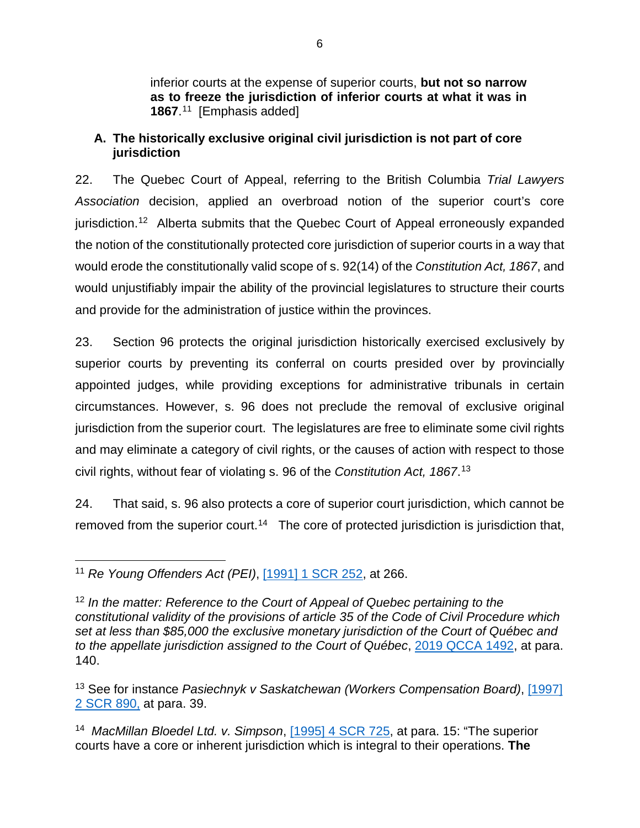inferior courts at the expense of superior courts, but not so narrow inferior courts at the expense of superior courts, **but not so narrow**  as to freeze the jurisdiction of inferior courts at what it was in **as to freeze the jurisdiction of inferior courts at what it was in**  1867.[11](#page-12-0) [Emphasis added] **1867**. <sup>11</sup> [Emphasis added]

### A. The historically exclusive original civil jurisdiction is not part of core **A. The historically exclusive original civil jurisdiction is not part of core**  jurisdiction **jurisdiction**

22. The Quebec Court of Appeal, referring to the British Columbia Trial Lawyers 22. The Quebec Court of Appeal, referring to the British Columbia *Trial Lawyers* Association decision, applied an overbroad notion of the superior court's core *Association* decision, applied an overbroad notion of the superior court's core jurisdiction.12 Alberta submits that the Quebec Court of Appeal erroneously expanded jurisdiction[.12](#page-12-1) Alberta submits that the Quebec Court of Appeal erroneously expanded the notion of the constitutionally protected core jurisdiction of superior courts in a way that the notion of the constitutionally protected core jurisdiction of superior courts in a way that would erode the constitutionally valid scope of s. 92(14) of the Constitution Act, 1867, and would erode the constitutionally valid scope of s. 92(14) of the *Constitution Act, 1867*, and would unjustifiably impair the ability of the provincial legislatures to structure their courts would unjustifiably impair the ability of the provincial legislatures to structure their courts and provide for the administration of justice within the provinces. and provide for the administration of justice within the provinces.

23. Section 96 protects the original jurisdiction historically exercised exclusively by 23. Section 96 protects the original jurisdiction historically exercised exclusively by superior courts by preventing its conferral on courts presided over by provincially superior courts by preventing its conferral on courts presided over by provincially appointed judges, while providing exceptions for administrative tribunals in certain appointed judges, while providing exceptions for administrative tribunals in certain circumstances. However, s. 96 does not preclude the removal of exclusive original circumstances. However, s. 96 does not preclude the removal of exclusive original jurisdiction from the superior court. The legislatures are free to eliminate some civil rights jurisdiction from the superior court. The legislatures are free to eliminate some civil rights and may eliminate a category of civil rights, or the causes of action with respect to those and may eliminate a category of civil rights, or the causes of action with respect to those civil rights, without fear of violating s. 96 of the *Constitution Act, 1867*.<sup>13</sup>

24. That said, s. 96 also protects a core of superior court jurisdiction, which cannot be 24. That said, s. 96 also protects a core of superior court jurisdiction, which cannot be removed from the superior court.<sup>14</sup> The core of protected jurisdiction is jurisdiction that,

<span id="page-12-0"></span><sup>11</sup> Re Young Offenders Act (PEI), [099111 SCR 252,](https://www.canlii.org/en/ca/scc/doc/1990/1990canlii19/1990canlii19.pdf) at 266. 11 *Re Young Offenders Act (PEI)*, [1991] 1 SCR 252, at 266.

<span id="page-12-1"></span><sup>12</sup> In the matter: Reference to the Court of Appeal of Quebec pertaining to the <sup>12</sup> *In the matter: Reference to the Court of Appeal of Quebec pertaining to the*  constitutional validity of the provisions of article 35 of the Code of Civil Procedure which *constitutional validity of the provisions of article 35 of the Code of Civil Procedure which*  set at less than \$85,000 the exclusive monetary jurisdiction of the Court of Quebec and *set at less than \$85,000 the exclusive monetary jurisdiction of the Court of Québec and*  to the appellate jurisdiction assigned to the Court of Québec, **2019 QCCA 1492**, at para. 140. 140.

<span id="page-12-2"></span><sup>&</sup>lt;sup>13</sup> See for instance *Pasiechnyk v Saskatchewan (Workers Compensation Board)*, [1997] [2 SCR 890,](https://www.canlii.org/en/ca/scc/doc/1997/1997canlii316/1997canlii316.pdf) at para. 39. 2 SCR 890, at para. 39.

<span id="page-12-3"></span><sup>14</sup> MacMillan Bloedel Ltd. v. Simpson, [11995\] 4 SCR 725,](https://www.canlii.org/en/ca/scc/doc/1995/1995canlii57/1995canlii57.pdf) at para. 15: "The superior 14 *MacMillan Bloedel Ltd. v. Simpson*, [1995] 4 SCR 725, at para. 15: "The superior courts have a core or inherent jurisdiction which is integral to their operations. The courts have a core or inherent jurisdiction which is integral to their operations. **The**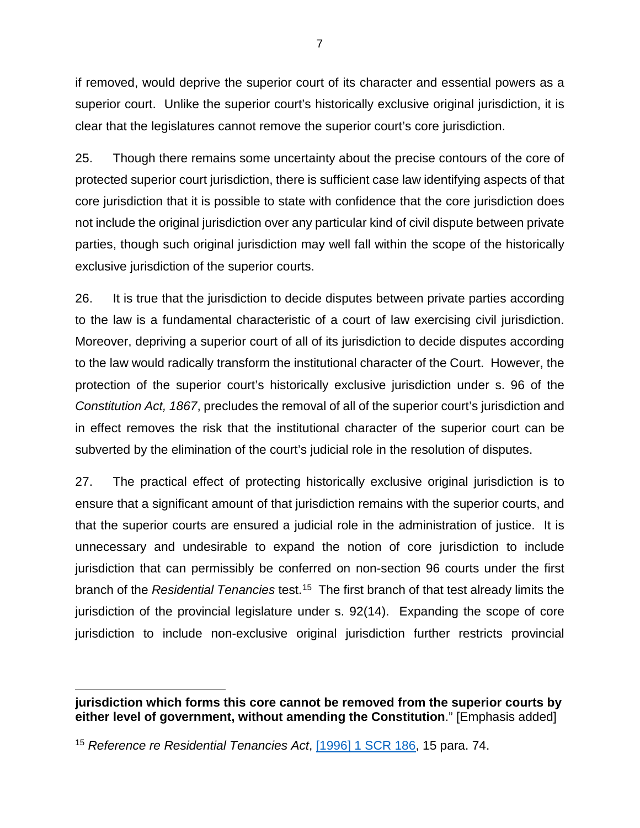if removed, would deprive the superior court of its character and essential powers as a if removed, would deprive the superior court of its character and essential powers as a superior court. Unlike the superior court's historically exclusive original jurisdiction, it is superior court. Unlike the superior court's historically exclusive original jurisdiction, it is clear that the legislatures cannot remove the superior court's core jurisdiction. clear that the legislatures cannot remove the superior court's core jurisdiction.

25. Though there remains some uncertainty about the precise contours of the core of 25. Though there remains some uncertainty about the precise contours of the core of protected superior court jurisdiction, there is sufficient case law identifying aspects of that protected superior court jurisdiction, there is sufficient case law identifying aspects of that core jurisdiction that it is possible to state with confidence that the core jurisdiction does core jurisdiction that it is possible to state with confidence that the core jurisdiction does not include the original jurisdiction over any particular kind of civil dispute between private not include the original jurisdiction over any particular kind of civil dispute between private parties, though such original jurisdiction may well fall within the scope of the historically parties, though such original jurisdiction may well fall within the scope of the historically exclusive jurisdiction of the superior courts. exclusive jurisdiction of the superior courts.

26. It is true that the jurisdiction to decide disputes between private parties according 26. It is true that the jurisdiction to decide disputes between private parties according to the law is a fundamental characteristic of a court of law exercising civil jurisdiction. to the law is a fundamental characteristic of a court of law exercising civil jurisdiction. Moreover, depriving a superior court of all of its jurisdiction to decide disputes according Moreover, depriving a superior court of all of its jurisdiction to decide disputes according to the law would radically transform the institutional character of the Court. However, the to the law would radically transform the institutional character of the Court. However, the protection of the superior court's historically exclusive jurisdiction under s. 96 of the protection of the superior court's historically exclusive jurisdiction under s. 96 of the Constitution Act, 1867, precludes the removal of all of the superior court's jurisdiction and *Constitution Act, 1867*, precludes the removal of all of the superior court's jurisdiction and in effect removes the risk that the institutional character of the superior court can be in effect removes the risk that the institutional character of the superior court can be subverted by the elimination of the court's judicial role in the resolution of disputes. subverted by the elimination of the court's judicial role in the resolution of disputes.

27. The practical effect of protecting historically exclusive original jurisdiction is to 27. The practical effect of protecting historically exclusive original jurisdiction is to ensure that a significant amount of that jurisdiction remains with the superior courts, and ensure that a significant amount of that jurisdiction remains with the superior courts, and that the superior courts are ensured a judicial role in the administration of justice. It is that the superior courts are ensured a judicial role in the administration of justice. It is unnecessary and undesirable to expand the notion of core jurisdiction to include unnecessary and undesirable to expand the notion of core jurisdiction to include jurisdiction that can permissibly be conferred on non-section 96 courts under the first jurisdiction that can permissibly be conferred on non-section 96 courts under the first branch of the Residential Tenancies test[.15](#page-13-0) The first branch of that test already limits the branch of the *Residential Tenancies* test.15 The first branch of that test already limits the jurisdiction of the provincial legislature under s. 92(14). Expanding the scope of core jurisdiction of the provincial legislature under s. 92(14). Expanding the scope of core jurisdiction to include non-exclusive original jurisdiction further restricts provincial jurisdiction to include non-exclusive original jurisdiction further restricts provincial

jurisdiction which forms this core cannot be removed from the superior courts by **jurisdiction which forms this core cannot be removed from the superior courts by**  either level of government, without amending the Constitution." [Emphasis added] **either level of government, without amending the Constitution**." [Emphasis added]  $\overline{a}$ 

<span id="page-13-0"></span><sup>&</sup>lt;sup>15</sup> Reference re Residential Tenancies Act, [1996] 1 SCR 186, 15 para. 74.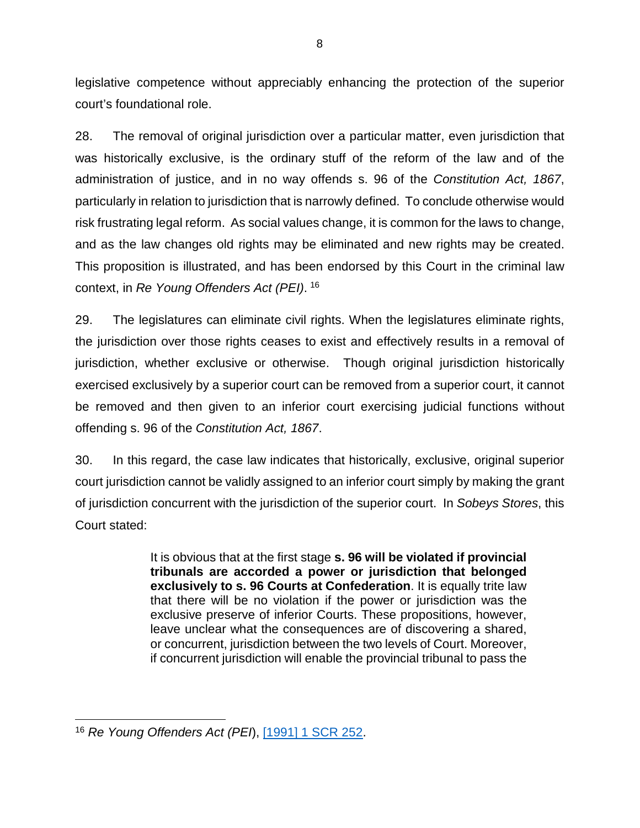legislative competence without appreciably enhancing the protection of the superior legislative competence without appreciably enhancing the protection of the superior court's foundational role. court's foundational role.

28. The removal of original jurisdiction over a particular matter, even jurisdiction that 28. The removal of original jurisdiction over a particular matter, even jurisdiction that was historically exclusive, is the ordinary stuff of the reform of the law and of the was historically exclusive, is the ordinary stuff of the reform of the law and of the administration of justice, and in no way offends s. 96 of the Constitution Act, 1867, administration of justice, and in no way offends s. 96 of the *Constitution Act, 1867*, particularly in relation to jurisdiction that is narrowly defined. To conclude otherwise would particularly in relation to jurisdiction that is narrowly defined. To conclude otherwise would risk frustrating legal reform. As social values change, it is common for the laws to change, risk frustrating legal reform. As social values change, it is common for the laws to change, and as the law changes old rights may be eliminated and new rights may be created. and as the law changes old rights may be eliminated and new rights may be created. This proposition is illustrated, and has been endorsed by this Court in the criminal law This proposition is illustrated, and has been endorsed by this Court in the criminal law context, in Re Young Offenders Act (PEI). <sup>16</sup> context, in *Re Young Offenders Act (PEI)*. [16](#page-14-0)

29. The legislatures can eliminate civil rights. When the legislatures eliminate rights, 29. The legislatures can eliminate civil rights. When the legislatures eliminate rights, the jurisdiction over those rights ceases to exist and effectively results in a removal of the jurisdiction over those rights ceases to exist and effectively results in a removal of jurisdiction, whether exclusive or otherwise. Though original jurisdiction historically jurisdiction, whether exclusive or otherwise. Though original jurisdiction historically exercised exclusively by a superior court can be removed from a superior court, it cannot exercised exclusively by a superior court can be removed from a superior court, it cannot be removed and then given to an inferior court exercising judicial functions without be removed and then given to an inferior court exercising judicial functions without offending s. 96 of the Constitution Act, 1867. offending s. 96 of the *Constitution Act, 1867*.

30. In this regard, the case law indicates that historically, exclusive, original superior 30. In this regard, the case law indicates that historically, exclusive, original superior court jurisdiction cannot be validly assigned to an inferior court simply by making the grant court jurisdiction cannot be validly assigned to an inferior court simply by making the grant of jurisdiction concurrent with the jurisdiction of the superior court. In Sobeys Stores, this of jurisdiction concurrent with the jurisdiction of the superior court. In *Sobeys Stores*, this Court stated: Court stated:

> It is obvious that at the first stage s. 96 will be violated if provincial It is obvious that at the first stage **s. 96 will be violated if provincial**  tribunals are accorded a power or jurisdiction that belonged **tribunals are accorded a power or jurisdiction that belonged**  exclusively to s. 96 Courts at Confederation. It is equally trite law **exclusively to s. 96 Courts at Confederation**. It is equally trite law that there will be no violation if the power or jurisdiction was the that there will be no violation if the power or jurisdiction was the exclusive preserve of inferior Courts. These propositions, however, exclusive preserve of inferior Courts. These propositions, however, leave unclear what the consequences are of discovering a shared, leave unclear what the consequences are of discovering a shared, or concurrent, jurisdiction between the two levels of Court. Moreover, or concurrent, jurisdiction between the two levels of Court. Moreover, if concurrent jurisdiction will enable the provincial tribunal to pass the if concurrent jurisdiction will enable the provincial tribunal to pass the

<span id="page-14-0"></span><sup>16</sup> Re Young Offenders Act (PEI), [11991\] 1 SCR 252.](https://www.canlii.org/en/ca/scc/doc/1990/1990canlii19/1990canlii19.pdf) 16 *Re Young Offenders Act (PEI*), [1991] 1 SCR 252.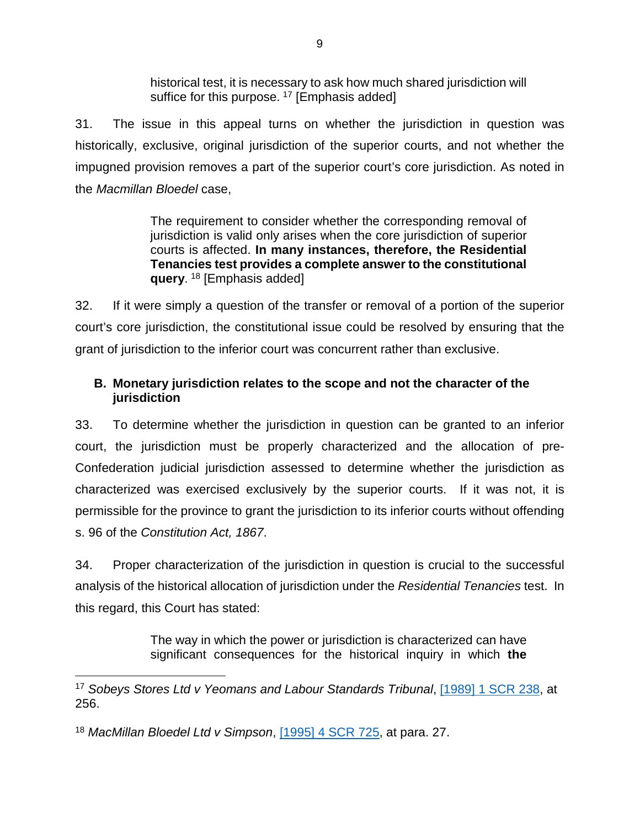historical test, it is necessary to ask how much shared jurisdiction will historical test, it is necessary to ask how much shared jurisdiction will suffice for this purpose. <sup>[17](#page-15-0)</sup> [Emphasis added]

31 The issue in this appeal turns on whether the jurisdiction in question was 31. The issue in this appeal turns on whether the jurisdiction in question was historically, exclusive, original jurisdiction of the superior courts, and not whether the historically, exclusive, original jurisdiction of the superior courts, and not whether the impugned provision removes a part of the superior court's core jurisdiction. As noted in impugned provision removes a part of the superior court's core jurisdiction. As noted in the Macmillan Bloedel case, the *Macmillan Bloedel* case,

> The requirement to consider whether the corresponding removal of The requirement to consider whether the corresponding removal of jurisdiction is valid only arises when the core jurisdiction of superior jurisdiction is valid only arises when the core jurisdiction of superior courts is affected. In many instances, therefore, the Residential courts is affected. **In many instances, therefore, the Residential**  Tenancies test provides a complete answer to the constitutional **Tenancies test provides a complete answer to the constitutional**  query. <sup>18</sup> [Emphasis added] **query**. [18](#page-15-1) [Emphasis added]

32. If it were simply a question of the transfer or removal of a portion of the superior 32. If it were simply a question of the transfer or removal of a portion of the superior court's core jurisdiction, the constitutional issue could be resolved by ensuring that the court's core jurisdiction, the constitutional issue could be resolved by ensuring that the grant of jurisdiction to the inferior court was concurrent rather than exclusive. grant of jurisdiction to the inferior court was concurrent rather than exclusive.

### B. Monetary jurisdiction relates to the scope and not the character of the **B. Monetary jurisdiction relates to the scope and not the character of the**  jurisdiction **jurisdiction**

33. To determine whether the jurisdiction in question can be granted to an inferior 33. To determine whether the jurisdiction in question can be granted to an inferior court, the jurisdiction must be properly characterized and the allocation of pre-court, the jurisdiction must be properly characterized and the allocation of pre-Confederation judicial jurisdiction assessed to determine whether the jurisdiction as Confederation judicial jurisdiction assessed to determine whether the jurisdiction as characterized was exercised exclusively by the superior courts. If it was not, it is characterized was exercised exclusively by the superior courts. If it was not, it is permissible for the province to grant the jurisdiction to its inferior courts without offending permissible for the province to grant the jurisdiction to its inferior courts without offending s. 96 of the Constitution Act, 1867. s. 96 of the *Constitution Act, 1867*.

34. Proper characterization of the jurisdiction in question is crucial to the successful 34. Proper characterization of the jurisdiction in question is crucial to the successful analysis of the historical allocation of jurisdiction under the Residential Tenancies test. In analysis of the historical allocation of jurisdiction under the *Residential Tenancies* test. In this regard, this Court has stated: this regard, this Court has stated:

> The way in which the power or jurisdiction is characterized can have The way in which the power or jurisdiction is characterized can have significant consequences for the historical inquiry in which the significant consequences for the historical inquiry in which **the**

<span id="page-15-0"></span><sup>17</sup> Sobeys Stores Ltd v Yeomans and Labour Standards Tribunal, [11989\] 1 SCR 238,](https://www.canlii.org/en/ca/scc/doc/1989/1989canlii116/1989canlii116.pdf) at 17 *Sobeys Stores Ltd v Yeomans and Labour Standards Tribunal*, [1989] 1 SCR 238, at 256. 256.

<span id="page-15-1"></span><sup>18</sup> MacMillan Bloedel Ltd v Simpson, [\[1995\] 4 SCR 725,](https://www.canlii.org/en/ca/scc/doc/1995/1995canlii57/1995canlii57.pdf) at para. 27. <sup>18</sup> *MacMillan Bloedel Ltd v Simpson*, [1995] 4 SCR 725, at para. 27.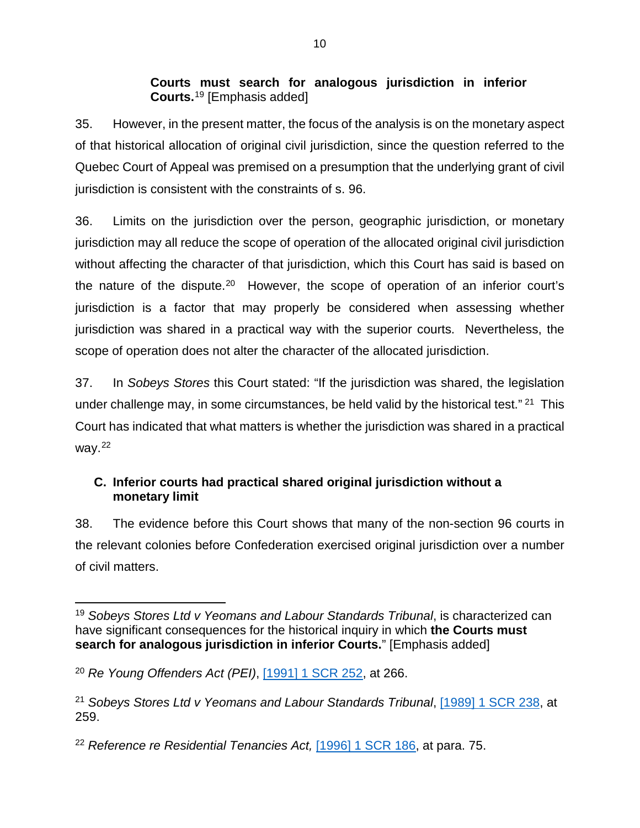### Courts must search for analogous jurisdiction in inferior **Courts must search for analogous jurisdiction in inferior**  Courts[.19](#page-16-0) [Emphasis added] **Courts.**<sup>19</sup> [Emphasis added]

35. However, in the present matter, the focus of the analysis is on the monetary aspect 35. However, in the present matter, the focus of the analysis is on the monetary aspect of that historical allocation of original civil jurisdiction, since the question referred to the of that historical allocation of original civil jurisdiction, since the question referred to the Quebec Court of Appeal was premised on a presumption that the underlying grant of civil Quebec Court of Appeal was premised on a presumption that the underlying grant of civil jurisdiction is consistent with the constraints of s. 96. jurisdiction is consistent with the constraints of s. 96.

36. Limits on the jurisdiction over the person, geographic jurisdiction, or monetary 36. Limits on the jurisdiction over the person, geographic jurisdiction, or monetary jurisdiction may all reduce the scope of operation of the allocated original civil jurisdiction jurisdiction may all reduce the scope of operation of the allocated original civil jurisdiction without affecting the character of that jurisdiction, which this Court has said is based on without affecting the character of that jurisdiction, which this Court has said is based on the nature of the dispute.[2°](#page-16-1) However, the scope of operation of an inferior court's the nature of the dispute.20 However, the scope of operation of an inferior court's jurisdiction is a factor that may properly be considered when assessing whether jurisdiction is a factor that may properly be considered when assessing whether jurisdiction was shared in a practical way with the superior courts. Nevertheless, the jurisdiction was shared in a practical way with the superior courts. Nevertheless, the scope of operation does not alter the character of the allocated jurisdiction. scope of operation does not alter the character of the allocated jurisdiction.

37. In Sobeys Stores this Court stated: "If the jurisdiction was shared, the legislation 37. In *Sobeys Stores* this Court stated: "If the jurisdiction was shared, the legislation under challenge may, in some circumstances, be held valid by the historical test."<sup>[21](#page-16-2)</sup> This Court has indicated that what matters is whether the jurisdiction was shared in a practical Court has indicated that what matters is whether the jurisdiction was shared in a practical way.[22](#page-16-3)  way.22

### C. Inferior courts had practical shared original jurisdiction without a **C. Inferior courts had practical shared original jurisdiction without a**  monetary limit **monetary limit**

38. The evidence before this Court shows that many of the non-section 96 courts in 38. The evidence before this Court shows that many of the non-section 96 courts in the relevant colonies before Confederation exercised original jurisdiction over a number the relevant colonies before Confederation exercised original jurisdiction over a number of civil matters. of civil matters.

<span id="page-16-0"></span><sup>19</sup> Sobeys Stores Ltd v Yeomans and Labour Standards Tribunal, is characterized can 19 *Sobeys Stores Ltd v Yeomans and Labour Standards Tribunal*, is characterized can have significant consequences for the historical inquiry in which the Courts must have significant consequences for the historical inquiry in which **the Courts must**  search for analogous jurisdiction in inferior Courts." [Emphasis added] **search for analogous jurisdiction in inferior Courts.**" [Emphasis added]

<span id="page-16-1"></span><sup>20</sup> Re Young Offenders Act (PEI), [\[1991\] 1 SCR 252,](https://www.canlii.org/en/ca/scc/doc/1990/1990canlii19/1990canlii19.pdf) at 266. <sup>20</sup> *Re Young Offenders Act (PEI)*, [1991] 1 SCR 252, at 266.

<span id="page-16-2"></span><sup>&</sup>lt;sup>21</sup> Sobeys Stores Ltd v Yeomans and Labour Standards Tribunal, [1989] 1 SCR 238, at 259. 259.

<span id="page-16-3"></span><sup>&</sup>lt;sup>22</sup> Reference re Residential Tenancies Act, [1996] 1 SCR 186, at para. 75.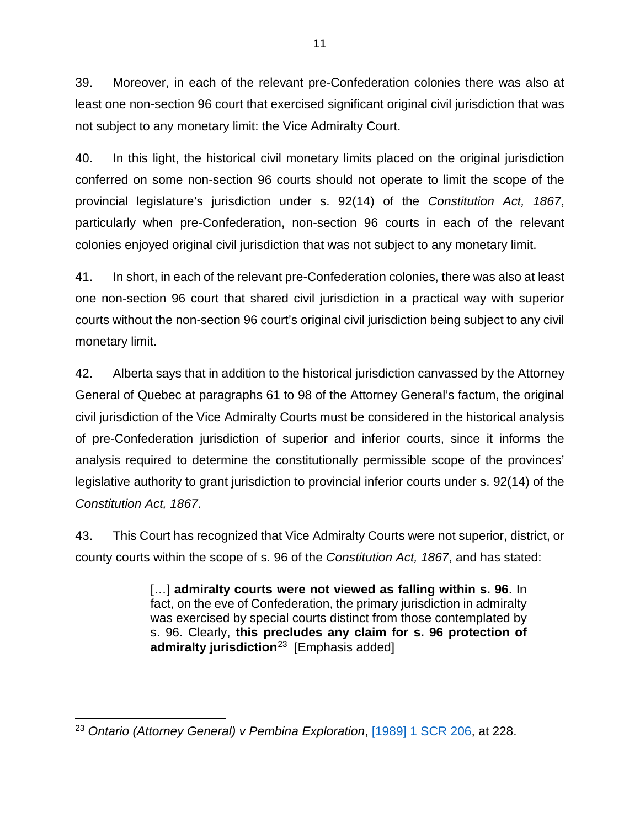39. Moreover, in each of the relevant pre-Confederation colonies there was also at 39. Moreover, in each of the relevant pre-Confederation colonies there was also at least one non-section 96 court that exercised significant original civil jurisdiction that was least one non-section 96 court that exercised significant original civil jurisdiction that was not subject to any monetary limit: the Vice Admiralty Court. not subject to any monetary limit: the Vice Admiralty Court.

40. In this light, the historical civil monetary limits placed on the original jurisdiction 40. In this light, the historical civil monetary limits placed on the original jurisdiction conferred on some non-section 96 courts should not operate to limit the scope of the conferred on some non-section 96 courts should not operate to limit the scope of the provincial legislature's jurisdiction under s. 92(14) of the Constitution Act, 1867, provincial legislature's jurisdiction under s. 92(14) of the *Constitution Act, 1867*, particularly when pre-Confederation, non-section 96 courts in each of the relevant particularly when pre-Confederation, non-section 96 courts in each of the relevant colonies enjoyed original civil jurisdiction that was not subject to any monetary limit. colonies enjoyed original civil jurisdiction that was not subject to any monetary limit.

41. In short, in each of the relevant pre-Confederation colonies, there was also at least 41. In short, in each of the relevant pre-Confederation colonies, there was also at least one non-section 96 court that shared civil jurisdiction in a practical way with superior one non-section 96 court that shared civil jurisdiction in a practical way with superior courts without the non-section 96 court's original civil jurisdiction being subject to any civil courts without the non-section 96 court's original civil jurisdiction being subject to any civil monetary limit. monetary limit.

42. Alberta says that in addition to the historical jurisdiction canvassed by the Attorney 42. Alberta says that in addition to the historical jurisdiction canvassed by the Attorney General of Quebec at paragraphs 61 to 98 of the Attorney General's factum, the original General of Quebec at paragraphs 61 to 98 of the Attorney General's factum, the original civil jurisdiction of the Vice Admiralty Courts must be considered in the historical analysis civil jurisdiction of the Vice Admiralty Courts must be considered in the historical analysis of pre-Confederation jurisdiction of superior and inferior courts, since it informs the of pre-Confederation jurisdiction of superior and inferior courts, since it informs the analysis required to determine the constitutionally permissible scope of the provinces' analysis required to determine the constitutionally permissible scope of the provinces' legislative authority to grant jurisdiction to provincial inferior courts under s. 92(14) of the legislative authority to grant jurisdiction to provincial inferior courts under s. 92(14) of the Constitution Act, 1867. *Constitution Act, 1867*.

43. This Court has recognized that Vice Admiralty Courts were not superior, district, or 43. This Court has recognized that Vice Admiralty Courts were not superior, district, or county courts within the scope of s. 96 of the Constitution Act, 1867, and has stated: county courts within the scope of s. 96 of the *Constitution Act, 1867*, and has stated:

> [...] admiralty courts were not viewed as falling within s. 96. In […] **admiralty courts were not viewed as falling within s. 96**. In fact, on the eve of Confederation, the primary jurisdiction in admiralty fact, on the eve of Confederation, the primary jurisdiction in admiralty was exercised by special courts distinct from those contemplated by was exercised by special courts distinct from those contemplated by s. 96. Clearly, this precludes any claim for s. 96 protection of s. 96. Clearly, **this precludes any claim for s. 96 protection of**  admiralty jurisdiction[23](#page-17-0) [Emphasis added] **admiralty jurisdiction**23 [Emphasis added]

<span id="page-17-0"></span><sup>23</sup> Ontario (Attorney General) v Pembina Exploration, [\[1989\] 1 SCR 206,](https://www.canlii.org/en/ca/scc/doc/1989/1989canlii112/1989canlii112.pdf) at 228. 23 *Ontario (Attorney General) v Pembina Exploration*, [1989] 1 SCR 206, at 228.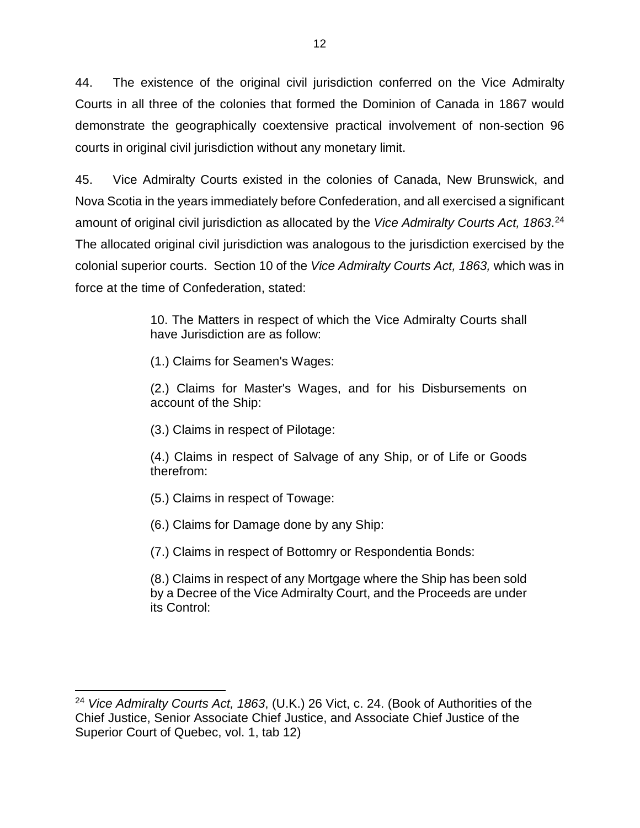44. The existence of the original civil jurisdiction conferred on the Vice Admiralty 44. The existence of the original civil jurisdiction conferred on the Vice Admiralty Courts in all three of the colonies that formed the Dominion of Canada in 1867 would Courts in all three of the colonies that formed the Dominion of Canada in 1867 would demonstrate the geographically coextensive practical involvement of non-section 96 demonstrate the geographically coextensive practical involvement of non-section 96 courts in original civil jurisdiction without any monetary limit. courts in original civil jurisdiction without any monetary limit.

45. Vice Admiralty Courts existed in the colonies of Canada, New Brunswick, and 45. Vice Admiralty Courts existed in the colonies of Canada, New Brunswick, and Nova Scotia in the years immediately before Confederation, and all exercised a significant Nova Scotia in the years immediately before Confederation, and all exercised a significant amount of original civil jurisdiction as allocated by the *Vice Admiralty Courts Act, 1863*.<sup>24</sup> The allocated original civil jurisdiction was analogous to the jurisdiction exercised by the The allocated original civil jurisdiction was analogous to the jurisdiction exercised by the colonial superior courts. Section 10 of the Vice Admiralty Courts Act, 1863, which was in colonial superior courts. Section 10 of the *Vice Admiralty Courts Act, 1863,* which was in force at the time of Confederation, stated: force at the time of Confederation, stated:

> 10. The Matters in respect of which the Vice Admiralty Courts shall 10. The Matters in respect of which the Vice Admiralty Courts shall have Jurisdiction are as follow: have Jurisdiction are as follow:

(1.) Claims for Seamen's Wages: (1.) Claims for Seamen's Wages:

(2.) Claims for Master's Wages, and for his Disbursements on (2.) Claims for Master's Wages, and for his Disbursements on account of the Ship: account of the Ship:

(3.) Claims in respect of Pilotage: (3.) Claims in respect of Pilotage:

(4.) Claims in respect of Salvage of any Ship, or of Life or Goods (4.) Claims in respect of Salvage of any Ship, or of Life or Goods therefrom: therefrom:

(5.) Claims in respect of Towage: (5.) Claims in respect of Towage:

(6.) Claims for Damage done by any Ship: (6.) Claims for Damage done by any Ship:

(7.) Claims in respect of Bottomry or Respondentia Bonds: (7.) Claims in respect of Bottomry or Respondentia Bonds:

(8.) Claims in respect of any Mortgage where the Ship has been sold (8.) Claims in respect of any Mortgage where the Ship has been sold by a Decree of the Vice Admiralty Court, and the Proceeds are under by a Decree of the Vice Admiralty Court, and the Proceeds are under its Control: its Control:

<span id="page-18-0"></span><sup>24</sup> Vice Admiralty Courts Act, 1863, (U.K.) 26 Vict, c. 24. (Book of Authorities of the 24 *Vice Admiralty Courts Act, 1863*, (U.K.) 26 Vict, c. 24. (Book of Authorities of the Chief Justice, Senior Associate Chief Justice, and Associate Chief Justice of the Chief Justice, Senior Associate Chief Justice, and Associate Chief Justice of the Superior Court of Quebec, vol. 1, tab 12) Superior Court of Quebec, vol. 1, tab 12)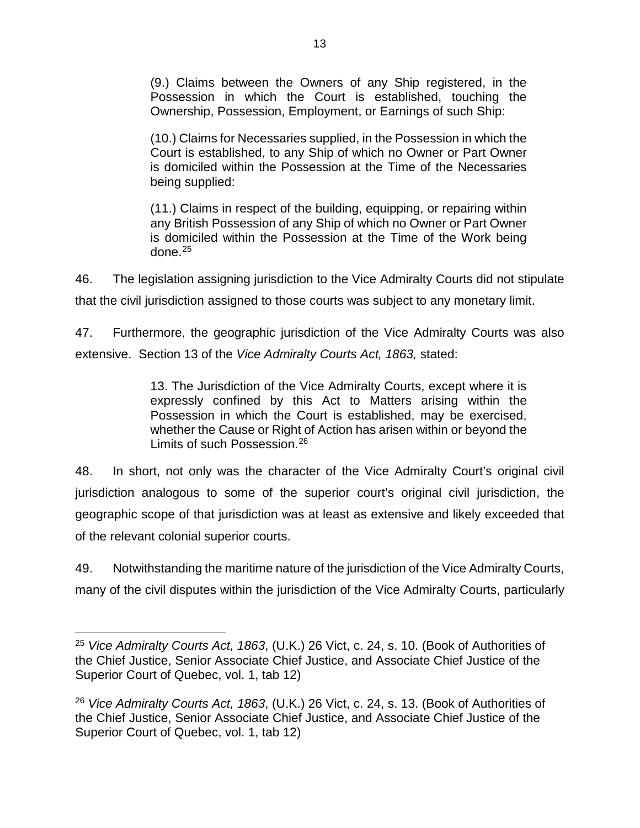(9.) Claims between the Owners of any Ship registered, in the (9.) Claims between the Owners of any Ship registered, in the Possession in which the Court is established, touching the Possession in which the Court is established, touching the Ownership, Possession, Employment, or Earnings of such Ship: Ownership, Possession, Employment, or Earnings of such Ship:

(10.) Claims for Necessaries supplied, in the Possession in which the (10.) Claims for Necessaries supplied, in the Possession in which the Court is established, to any Ship of which no Owner or Part Owner Court is established, to any Ship of which no Owner or Part Owner is domiciled within the Possession at the Time of the Necessaries is domiciled within the Possession at the Time of the Necessaries being supplied: being supplied:

(11.) Claims in respect of the building, equipping, or repairing within (11.) Claims in respect of the building, equipping, or repairing within any British Possession of any Ship of which no Owner or Part Owner any British Possession of any Ship of which no Owner or Part Owner is domiciled within the Possession at the Time of the Work being is domiciled within the Possession at the Time of the Work being done.25 done.[25](#page-19-0)

46. The legislation assigning jurisdiction to the Vice Admiralty Courts did not stipulate 46. The legislation assigning jurisdiction to the Vice Admiralty Courts did not stipulate that the civil jurisdiction assigned to those courts was subject to any monetary limit. that the civil jurisdiction assigned to those courts was subject to any monetary limit.

47. Furthermore, the geographic jurisdiction of the Vice Admiralty Courts was also 47. Furthermore, the geographic jurisdiction of the Vice Admiralty Courts was also extensive. Section 13 of the Vice Admiralty Courts Act, 1863, stated: extensive. Section 13 of the *Vice Admiralty Courts Act, 1863,* stated:

> 13. The Jurisdiction of the Vice Admiralty Courts, except where it is 13. The Jurisdiction of the Vice Admiralty Courts, except where it is expressly confined by this Act to Matters arising within the expressly confined by this Act to Matters arising within the Possession in which the Court is established, may be exercised, Possession in which the Court is established, may be exercised, whether the Cause or Right of Action has arisen within or beyond the whether the Cause or Right of Action has arisen within or beyond the Limits of such Possession.<sup>[26](#page-19-1)</sup>

48. In short, not only was the character of the Vice Admiralty Court's original civil 48. In short, not only was the character of the Vice Admiralty Court's original civil jurisdiction analogous to some of the superior court's original civil jurisdiction, the jurisdiction analogous to some of the superior court's original civil jurisdiction, the geographic scope of that jurisdiction was at least as extensive and likely exceeded that geographic scope of that jurisdiction was at least as extensive and likely exceeded that of the relevant colonial superior courts. of the relevant colonial superior courts.

49. Notwithstanding the maritime nature of the jurisdiction of the Vice Admiralty Courts, many of the civil disputes within the jurisdiction of the Vice Admiralty Courts, particularly many of the civil disputes within the jurisdiction of the Vice Admiralty Courts, particularly

<span id="page-19-0"></span><sup>25</sup> Vice Admiralty Courts Act, 1863, (U.K.) 26 Vict, c. 24, s. 10. (Book of Authorities of 25 *Vice Admiralty Courts Act, 1863*, (U.K.) 26 Vict, c. 24, s. 10. (Book of Authorities of the Chief Justice, Senior Associate Chief Justice, and Associate Chief Justice of the the Chief Justice, Senior Associate Chief Justice, and Associate Chief Justice of the Superior Court of Quebec, vol. 1, tab 12) Superior Court of Quebec, vol. 1, tab 12)

<span id="page-19-1"></span><sup>26</sup> Vice Admiralty Courts Act, 1863, (U.K.) 26 Vict, c. 24, s. 13. (Book of Authorities of <sup>26</sup> *Vice Admiralty Courts Act, 1863*, (U.K.) 26 Vict, c. 24, s. 13. (Book of Authorities of the Chief Justice, Senior Associate Chief Justice, and Associate Chief Justice of the the Chief Justice, Senior Associate Chief Justice, and Associate Chief Justice of the Superior Court of Quebec, vol. 1, tab 12) Superior Court of Quebec, vol. 1, tab 12)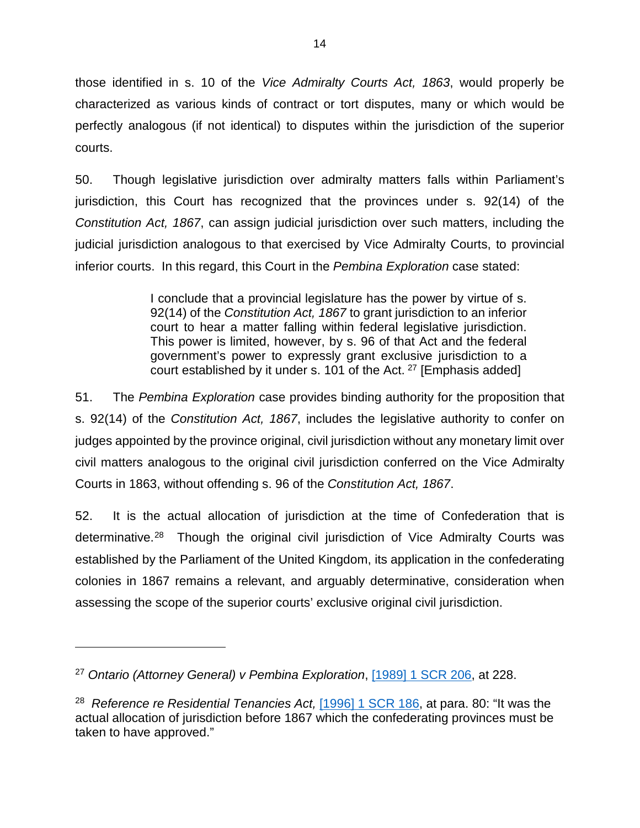those identified in s. 10 of the Vice Admiralty Courts Act, 1863, would properly be those identified in s. 10 of the *Vice Admiralty Courts Act, 1863*, would properly be characterized as various kinds of contract or tort disputes, many or which would be characterized as various kinds of contract or tort disputes, many or which would be perfectly analogous (if not identical) to disputes within the jurisdiction of the superior perfectly analogous (if not identical) to disputes within the jurisdiction of the superior courts. courts.

50. Though legislative jurisdiction over admiralty matters falls within Parliament's 50. Though legislative jurisdiction over admiralty matters falls within Parliament's jurisdiction, this Court has recognized that the provinces under s. 92(14) of the jurisdiction, this Court has recognized that the provinces under s. 92(14) of the Constitution Act, 1867, can assign judicial jurisdiction over such matters, including the *Constitution Act, 1867*, can assign judicial jurisdiction over such matters, including the judicial jurisdiction analogous to that exercised by Vice Admiralty Courts, to provincial judicial jurisdiction analogous to that exercised by Vice Admiralty Courts, to provincial inferior courts. In this regard, this Court in the Pembina Exploration case stated: inferior courts. In this regard, this Court in the *Pembina Exploration* case stated:

> I conclude that a provincial legislature has the power by virtue of s. I conclude that a provincial legislature has the power by virtue of s. 92(14) of the Constitution Act, 1867 to grant jurisdiction to an inferior 92(14) of the *Constitution Act, 1867* to grant jurisdiction to an inferior court to hear a matter falling within federal legislative jurisdiction. court to hear a matter falling within federal legislative jurisdiction. This power is limited, however, by s. 96 of that Act and the federal This power is limited, however, by s. 96 of that Act and the federal government's power to expressly grant exclusive jurisdiction to a government's power to expressly grant exclusive jurisdiction to a court established by it under s. 101 of the Act. <sup>[27](#page-20-0)</sup> [Emphasis added]

51. The Pembina Exploration case provides binding authority for the proposition that 51. The *Pembina Exploration* case provides binding authority for the proposition that s. 92(14) of the Constitution Act, 1867, includes the legislative authority to confer on s. 92(14) of the *Constitution Act, 1867*, includes the legislative authority to confer on judges appointed by the province original, civil jurisdiction without any monetary limit over judges appointed by the province original, civil jurisdiction without any monetary limit over civil matters analogous to the original civil jurisdiction conferred on the Vice Admiralty civil matters analogous to the original civil jurisdiction conferred on the Vice Admiralty Courts in 1863, without offending s. 96 of the Constitution Act, 1867. Courts in 1863, without offending s. 96 of the *Constitution Act, 1867*.

52. It is the actual allocation of jurisdiction at the time of Confederation that is 52. It is the actual allocation of jurisdiction at the time of Confederation that is determinative.<sup>28</sup> Though the original civil jurisdiction of Vice Admiralty Courts was established by the Parliament of the United Kingdom, its application in the confederating established by the Parliament of the United Kingdom, its application in the confederating colonies in 1867 remains a relevant, and arguably determinative, consideration when colonies in 1867 remains a relevant, and arguably determinative, consideration when assessing the scope of the superior courts' exclusive original civil jurisdiction. assessing the scope of the superior courts' exclusive original civil jurisdiction.

 $\overline{a}$ 

<span id="page-20-0"></span><sup>27</sup> Ontario (Attorney General) v Pembina Exploration, [\[1989\] 1 SCR 206,](https://www.canlii.org/en/ca/scc/doc/1989/1989canlii112/1989canlii112.pdf) at 228. <sup>27</sup> *Ontario (Attorney General) v Pembina Exploration*, [1989] 1 SCR 206, at 228.

<span id="page-20-1"></span><sup>&</sup>lt;sup>28</sup> Reference re Residential Tenancies Act, [1996] 1 SCR 186, at para. 80: "It was the actual allocation of jurisdiction before 1867 which the confederating provinces must be actual allocation of jurisdiction before 1867 which the confederating provinces must be taken to have approved." taken to have approved."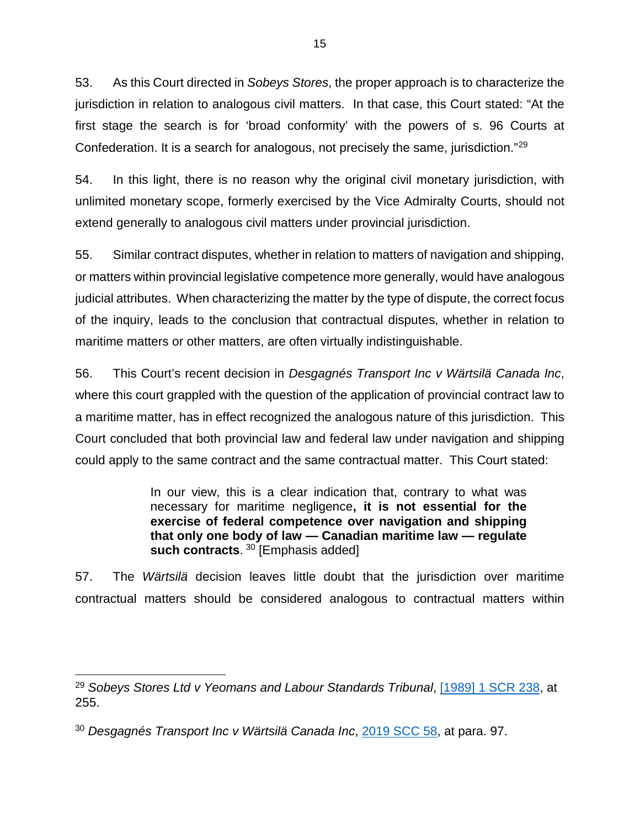53. As this Court directed in Sobeys Stores, the proper approach is to characterize the 53. As this Court directed in *Sobeys Stores*, the proper approach is to characterize the jurisdiction in relation to analogous civil matters. In that case, this Court stated: "At the jurisdiction in relation to analogous civil matters. In that case, this Court stated: "At the first stage the search is for `broad conformity' with the powers of s. 96 Courts at first stage the search is for 'broad conformity' with the powers of s. 96 Courts at Confederation. It is a search for analogous, not precisely the same, jurisdiction."<sup>[29](#page-21-0)</sup>

54. In this light, there is no reason why the original civil monetary jurisdiction, with 54. In this light, there is no reason why the original civil monetary jurisdiction, with unlimited monetary scope, formerly exercised by the Vice Admiralty Courts, should not unlimited monetary scope, formerly exercised by the Vice Admiralty Courts, should not extend generally to analogous civil matters under provincial jurisdiction. extend generally to analogous civil matters under provincial jurisdiction.

55. Similar contract disputes, whether in relation to matters of navigation and shipping, 55. Similar contract disputes, whether in relation to matters of navigation and shipping, or matters within provincial legislative competence more generally, would have analogous or matters within provincial legislative competence more generally, would have analogous judicial attributes. When characterizing the matter by the type of dispute, the correct focus judicial attributes. When characterizing the matter by the type of dispute, the correct focus of the inquiry, leads to the conclusion that contractual disputes, whether in relation to maritime matters or other matters, are often virtually indistinguishable. maritime matters or other matters, are often virtually indistinguishable.

56. This Court's recent decision in *Desgagnés Transport Inc v Wärtsilä Canada Inc*, where this court grappled with the question of the application of provincial contract law to where this court grappled with the question of the application of provincial contract law to a maritime matter, has in effect recognized the analogous nature of this jurisdiction. This a maritime matter, has in effect recognized the analogous nature of this jurisdiction. This Court concluded that both provincial law and federal law under navigation and shipping Court concluded that both provincial law and federal law under navigation and shipping could apply to the same contract and the same contractual matter. This Court stated: could apply to the same contract and the same contractual matter. This Court stated:

> In our view, this is a clear indication that, contrary to what was In our view, this is a clear indication that, contrary to what was necessary for maritime negligence, it is not essential for the necessary for maritime negligence**, it is not essential for the**  exercise of federal competence over navigation and shipping **exercise of federal competence over navigation and shipping**  that only one body of law — Canadian maritime law — regulate **that only one body of law — Canadian maritime law — regulate**  such contracts. <sup>30</sup> [Emphasis added] **such contracts**. [30](#page-21-1) [Emphasis added]

57. The Wartsila decision leaves little doubt that the jurisdiction over maritime 57. The *Wärtsilä* decision leaves little doubt that the jurisdiction over maritime contractual matters should be considered analogous to contractual matters within contractual matters should be considered analogous to contractual matters within

<span id="page-21-0"></span><sup>29</sup> Sobeys Stores Ltd v Yeomans and Labour Standards Tribunal, [119891 1 SCR 238,](https://www.canlii.org/en/ca/scc/doc/1989/1989canlii116/1989canlii116.pdf) at 29 *Sobeys Stores Ltd v Yeomans and Labour Standards Tribunal*, [1989] 1 SCR 238, at 255. 255.

<span id="page-21-1"></span><sup>&</sup>lt;sup>30</sup> Desgagnés Transport Inc v Wärtsilä Canada Inc, [2019 SCC 58,](https://www.canlii.org/en/ca/scc/doc/2019/2019scc58/2019scc58.pdf) at para. 97.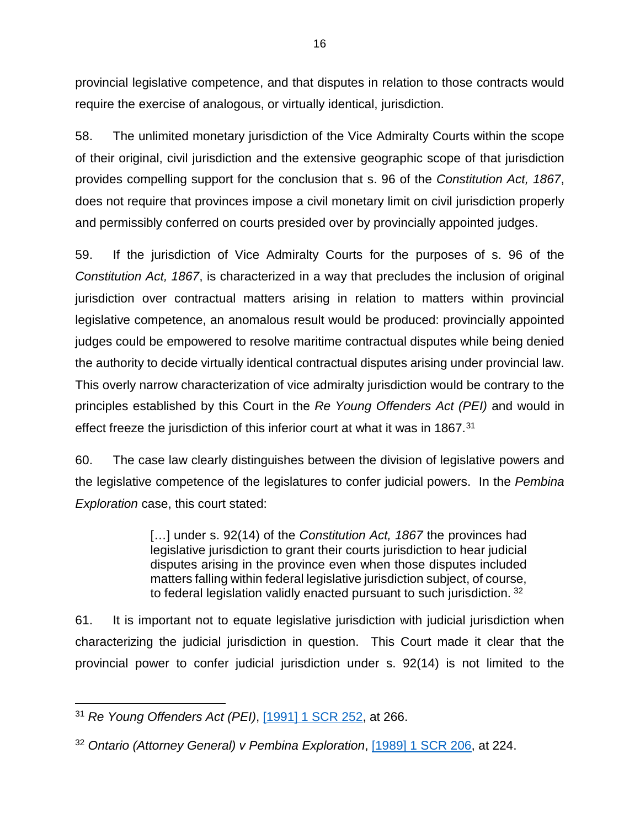provincial legislative competence, and that disputes in relation to those contracts would provincial legislative competence, and that disputes in relation to those contracts would require the exercise of analogous, or virtually identical, jurisdiction. require the exercise of analogous, or virtually identical, jurisdiction.

58. The unlimited monetary jurisdiction of the Vice Admiralty Courts within the scope 58. The unlimited monetary jurisdiction of the Vice Admiralty Courts within the scope of their original, civil jurisdiction and the extensive geographic scope of that jurisdiction of their original, civil jurisdiction and the extensive geographic scope of that jurisdiction provides compelling support for the conclusion that s. 96 of the Constitution Act, 1867, provides compelling support for the conclusion that s. 96 of the *Constitution Act, 1867*, does not require that provinces impose a civil monetary limit on civil jurisdiction properly does not require that provinces impose a civil monetary limit on civil jurisdiction properly and permissibly conferred on courts presided over by provincially appointed judges. and permissibly conferred on courts presided over by provincially appointed judges.

59. If the jurisdiction of Vice Admiralty Courts for the purposes of s. 96 of the 59. If the jurisdiction of Vice Admiralty Courts for the purposes of s. 96 of the Constitution Act, 1867, is characterized in a way that precludes the inclusion of original *Constitution Act, 1867*, is characterized in a way that precludes the inclusion of original jurisdiction over contractual matters arising in relation to matters within provincial jurisdiction over contractual matters arising in relation to matters within provincial legislative competence, an anomalous result would be produced: provincially appointed legislative competence, an anomalous result would be produced: provincially appointed judges could be empowered to resolve maritime contractual disputes while being denied judges could be empowered to resolve maritime contractual disputes while being denied the authority to decide virtually identical contractual disputes arising under provincial law. the authority to decide virtually identical contractual disputes arising under provincial law. This overly narrow characterization of vice admiralty jurisdiction would be contrary to the This overly narrow characterization of vice admiralty jurisdiction would be contrary to the principles established by this Court in the Re Young Offenders Act (PEI) and would in principles established by this Court in the *Re Young Offenders Act (PEI)* and would in effect freeze the jurisdiction of this inferior court at what it was in 1867.<sup>[31](#page-22-0)</sup>

60. The case law clearly distinguishes between the division of legislative powers and 60. The case law clearly distinguishes between the division of legislative powers and the legislative competence of the legislatures to confer judicial powers. In the Pembina the legislative competence of the legislatures to confer judicial powers. In the *Pembina*  Exploration case, this court stated: *Exploration* case, this court stated:

> [...] under s. 92(14) of the Constitution Act, 1867 the provinces had […] under s. 92(14) of the *Constitution Act, 1867* the provinces had legislative jurisdiction to grant their courts jurisdiction to hear judicial legislative jurisdiction to grant their courts jurisdiction to hear judicial disputes arising in the province even when those disputes included disputes arising in the province even when those disputes included matters falling within federal legislative jurisdiction subject, of course, matters falling within federal legislative jurisdiction subject, of course, to federal legislation validly enacted pursuant to such jurisdiction. <sup>[32](#page-22-1)</sup>

61. It is important not to equate legislative jurisdiction with judicial jurisdiction when 61. It is important not to equate legislative jurisdiction with judicial jurisdiction when characterizing the judicial jurisdiction in question. This Court made it clear that the characterizing the judicial jurisdiction in question. This Court made it clear that the provincial power to confer judicial jurisdiction under s. 92(14) is not limited to the provincial power to confer judicial jurisdiction under s. 92(14) is not limited to the

<span id="page-22-0"></span><sup>31</sup> Re Young Offenders Act (PEI), [099111 SCR 252,](https://www.canlii.org/en/ca/scc/doc/1990/1990canlii19/1990canlii19.pdf) at 266. 31 *Re Young Offenders Act (PEI)*, [1991] 1 SCR 252, at 266.

<span id="page-22-1"></span><sup>32</sup> Ontario (Attorney General) v Pembina Exploration, [\[1989\] 1 SCR 206,](https://www.canlii.org/en/ca/scc/doc/1989/1989canlii112/1989canlii112.pdf) at 224. <sup>32</sup> *Ontario (Attorney General) v Pembina Exploration*, [1989] 1 SCR 206, at 224.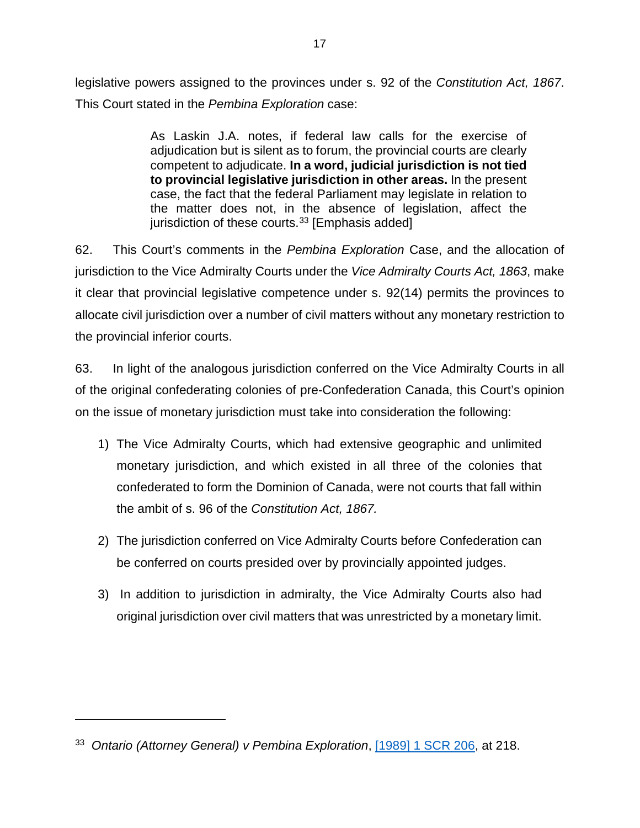legislative powers assigned to the provinces under s. 92 of the Constitution Act, 1867. legislative powers assigned to the provinces under s. 92 of the *Constitution Act, 1867*. This Court stated in the Pembina Exploration case: This Court stated in the *Pembina Exploration* case:

> As Laskin J.A. notes, if federal law calls for the exercise of As Laskin J.A. notes, if federal law calls for the exercise of adjudication but is silent as to forum, the provincial courts are clearly adjudication but is silent as to forum, the provincial courts are clearly competent to adjudicate. In a word, judicial jurisdiction is not tied competent to adjudicate. **In a word, judicial jurisdiction is not tied**  to provincial legislative jurisdiction in other areas. In the present **to provincial legislative jurisdiction in other areas.** In the present case, the fact that the federal Parliament may legislate in relation to case, the fact that the federal Parliament may legislate in relation to the matter does not, in the absence of legislation, affect the the matter does not, in the absence of legislation, affect the jurisdiction of these courts.<sup>[33](#page-23-0)</sup> [Emphasis added]

62. This Court's comments in the Pembina Exploration Case, and the allocation of 62. This Court's comments in the *Pembina Exploration* Case, and the allocation of jurisdiction to the Vice Admiralty Courts under the Vice Admiralty Courts Act, 1863, make jurisdiction to the Vice Admiralty Courts under the *Vice Admiralty Courts Act, 1863*, make it clear that provincial legislative competence under s. 92(14) permits the provinces to it clear that provincial legislative competence under s. 92(14) permits the provinces to allocate civil jurisdiction over a number of civil matters without any monetary restriction to allocate civil jurisdiction over a number of civil matters without any monetary restriction to the provincial inferior courts. the provincial inferior courts.

63. In light of the analogous jurisdiction conferred on the Vice Admiralty Courts in all 63. In light of the analogous jurisdiction conferred on the Vice Admiralty Courts in all of the original confederating colonies of pre-Confederation Canada, this Court's opinion of the original confederating colonies of pre-Confederation Canada, this Court's opinion on the issue of monetary jurisdiction must take into consideration the following:

- 1) The Vice Admiralty Courts, which had extensive geographic and unlimited 1) The Vice Admiralty Courts, which had extensive geographic and unlimited monetary jurisdiction, and which existed in all three of the colonies that monetary jurisdiction, and which existed in all three of the colonies that confederated to form the Dominion of Canada, were not courts that fall within confederated to form the Dominion of Canada, were not courts that fall within the ambit of s. 96 of the Constitution Act, 1867. the ambit of s. 96 of the *Constitution Act, 1867.*
- 2) The jurisdiction conferred on Vice Admiralty Courts before Confederation can 2) The jurisdiction conferred on Vice Admiralty Courts before Confederation can be conferred on courts presided over by provincially appointed judges. be conferred on courts presided over by provincially appointed judges.
- 3) In addition to jurisdiction in admiralty, the Vice Admiralty Courts also had 3) In addition to jurisdiction in admiralty, the Vice Admiralty Courts also had original jurisdiction over civil matters that was unrestricted by a monetary limit. original jurisdiction over civil matters that was unrestricted by a monetary limit.

 $\overline{a}$ 

<span id="page-23-0"></span><sup>33</sup> Ontario (Attorney General) v Pembina Exploration, [11989\] 1 SCR 206,](https://www.canlii.org/en/ca/scc/doc/1989/1989canlii112/1989canlii112.pdf) at 218. 33 *Ontario (Attorney General) v Pembina Exploration*, [1989] 1 SCR 206, at 218.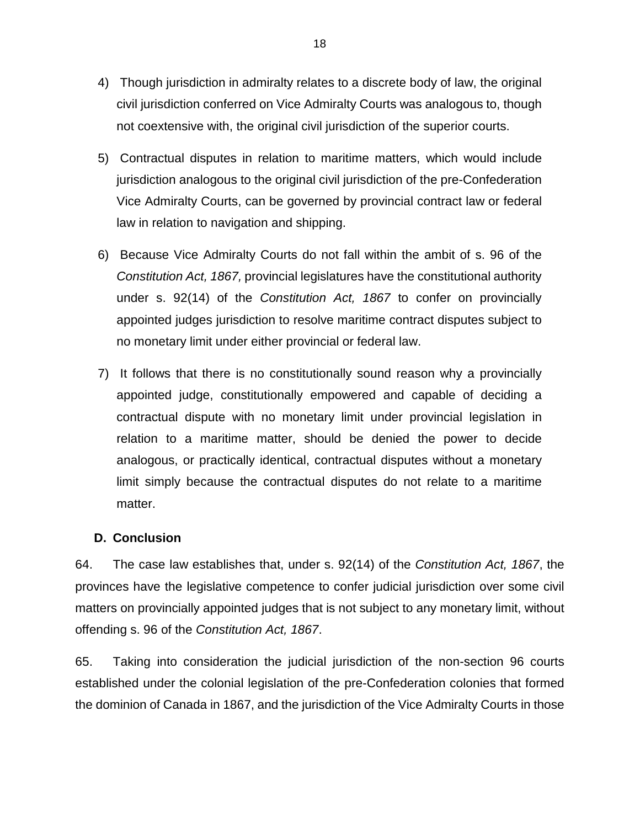- 4) Though jurisdiction in admiralty relates to a discrete body of law, the original 4) Though jurisdiction in admiralty relates to a discrete body of law, the original civil jurisdiction conferred on Vice Admiralty Courts was analogous to, though civil jurisdiction conferred on Vice Admiralty Courts was analogous to, though not coextensive with, the original civil jurisdiction of the superior courts. not coextensive with, the original civil jurisdiction of the superior courts.
- 5) Contractual disputes in relation to maritime matters, which would include 5) Contractual disputes in relation to maritime matters, which would include jurisdiction analogous to the original civil jurisdiction of the pre-Confederation jurisdiction analogous to the original civil jurisdiction of the pre-Confederation Vice Admiralty Courts, can be governed by provincial contract law or federal Vice Admiralty Courts, can be governed by provincial contract law or federal law in relation to navigation and shipping. law in relation to navigation and shipping.
- 6) Because Vice Admiralty Courts do not fall within the ambit of s. 96 of the 6) Because Vice Admiralty Courts do not fall within the ambit of s. 96 of the Constitution Act, 1867, provincial legislatures have the constitutional authority *Constitution Act, 1867,* provincial legislatures have the constitutional authority under s. 92(14) of the Constitution Act, 1867 to confer on provincially under s. 92(14) of the *Constitution Act, 1867* to confer on provincially appointed judges jurisdiction to resolve maritime contract disputes subject to appointed judges jurisdiction to resolve maritime contract disputes subject to no monetary limit under either provincial or federal law. no monetary limit under either provincial or federal law.
- 7) It follows that there is no constitutionally sound reason why a provincially 7) It follows that there is no constitutionally sound reason why a provincially appointed judge, constitutionally empowered and capable of deciding a appointed judge, constitutionally empowered and capable of deciding a contractual dispute with no monetary limit under provincial legislation in contractual dispute with no monetary limit under provincial legislation in relation to a maritime matter, should be denied the power to decide relation to a maritime matter, should be denied the power to decide analogous, or practically identical, contractual disputes without a monetary analogous, or practically identical, contractual disputes without a monetary limit simply because the contractual disputes do not relate to a maritime limit simply because the contractual disputes do not relate to a maritime matter. matter.

### D. Conclusion **D. Conclusion**

64. The case law establishes that, under s. 92(14) of the Constitution Act, 1867, the 64. The case law establishes that, under s. 92(14) of the *Constitution Act, 1867*, the provinces have the legislative competence to confer judicial jurisdiction over some civil provinces have the legislative competence to confer judicial jurisdiction over some civil matters on provincially appointed judges that is not subject to any monetary limit, without matters on provincially appointed judges that is not subject to any monetary limit, without offending s. 96 of the Constitution Act, 1867. offending s. 96 of the *Constitution Act, 1867*.

65. Taking into consideration the judicial jurisdiction of the non-section 96 courts 65. Taking into consideration the judicial jurisdiction of the non-section 96 courts established under the colonial legislation of the pre-Confederation colonies that formed established under the colonial legislation of the pre-Confederation colonies that formed the dominion of Canada in 1867, and the jurisdiction of the Vice Admiralty Courts in those the dominion of Canada in 1867, and the jurisdiction of the Vice Admiralty Courts in those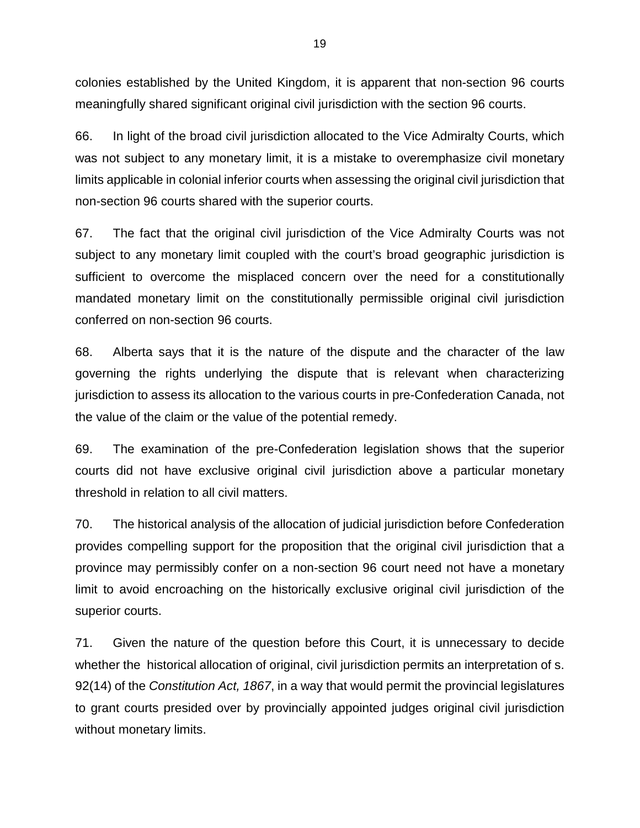colonies established by the United Kingdom, it is apparent that non-section 96 courts colonies established by the United Kingdom, it is apparent that non-section 96 courts meaningfully shared significant original civil jurisdiction with the section 96 courts. meaningfully shared significant original civil jurisdiction with the section 96 courts.

66. In light of the broad civil jurisdiction allocated to the Vice Admiralty Courts, which 66. In light of the broad civil jurisdiction allocated to the Vice Admiralty Courts, which was not subject to any monetary limit, it is a mistake to overemphasize civil monetary was not subject to any monetary limit, it is a mistake to overemphasize civil monetary limits applicable in colonial inferior courts when assessing the original civil jurisdiction that limits applicable in colonial inferior courts when assessing the original civil jurisdiction that non-section 96 courts shared with the superior courts. non-section 96 courts shared with the superior courts.

67. The fact that the original civil jurisdiction of the Vice Admiralty Courts was not 67. The fact that the original civil jurisdiction of the Vice Admiralty Courts was not subject to any monetary limit coupled with the court's broad geographic jurisdiction is subject to any monetary limit coupled with the court's broad geographic jurisdiction is sufficient to overcome the misplaced concern over the need for a constitutionally sufficient to overcome the misplaced concern over the need for a constitutionally mandated monetary limit on the constitutionally permissible original civil jurisdiction mandated monetary limit on the constitutionally permissible original civil jurisdiction conferred on non-section 96 courts. conferred on non-section 96 courts.

68. Alberta says that it is the nature of the dispute and the character of the law 68. Alberta says that it is the nature of the dispute and the character of the law governing the rights underlying the dispute that is relevant when characterizing governing the rights underlying the dispute that is relevant when characterizing jurisdiction to assess its allocation to the various courts in pre-Confederation Canada, not jurisdiction to assess its allocation to the various courts in pre-Confederation Canada, not the value of the claim or the value of the potential remedy. the value of the claim or the value of the potential remedy.

69. The examination of the pre-Confederation legislation shows that the superior 69. The examination of the pre-Confederation legislation shows that the superior courts did not have exclusive original civil jurisdiction above a particular monetary courts did not have exclusive original civil jurisdiction above a particular monetary threshold in relation to all civil matters. threshold in relation to all civil matters.

70. The historical analysis of the allocation of judicial jurisdiction before Confederation 70. The historical analysis of the allocation of judicial jurisdiction before Confederation provides compelling support for the proposition that the original civil jurisdiction that a provides compelling support for the proposition that the original civil jurisdiction that a province may permissibly confer on a non-section 96 court need not have a monetary province may permissibly confer on a non-section 96 court need not have a monetary limit to avoid encroaching on the historically exclusive original civil jurisdiction of the limit to avoid encroaching on the historically exclusive original civil jurisdiction of the superior courts. superior courts.

71. Given the nature of the question before this Court, it is unnecessary to decide 71. Given the nature of the question before this Court, it is unnecessary to decide whether the historical allocation of original, civil jurisdiction permits an interpretation of s. whether the historical allocation of original, civil jurisdiction permits an interpretation of s. 92(14) of the Constitution Act, 1867, in a way that would permit the provincial legislatures 92(14) of the *Constitution Act, 1867*, in a way that would permit the provincial legislatures to grant courts presided over by provincially appointed judges original civil jurisdiction to grant courts presided over by provincially appointed judges original civil jurisdiction without monetary limits. without monetary limits.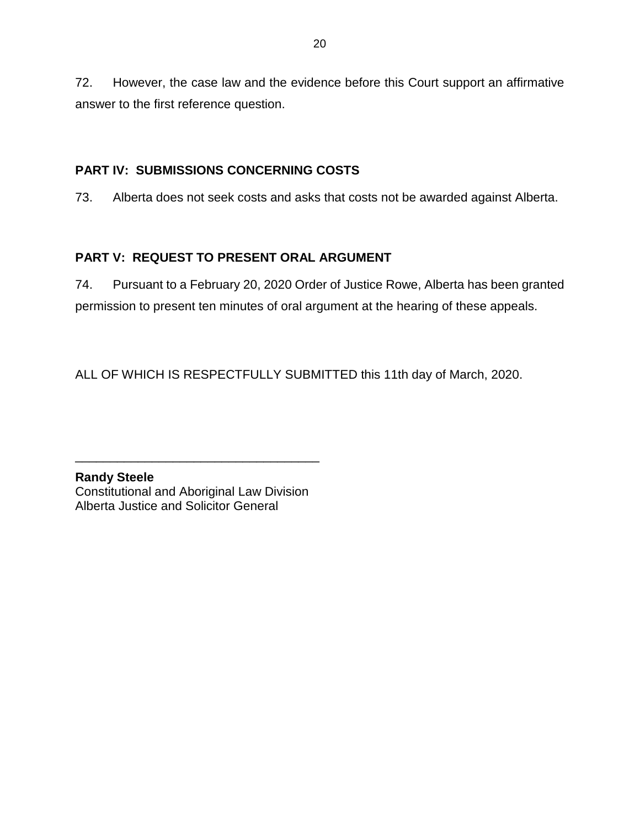72. However, the case law and the evidence before this Court support an affirmative 72. However, the case law and the evidence before this Court support an affirmative answer to the first reference question. answer to the first reference question.

### PART IV: SUBMISSIONS CONCERNING COSTS **PART IV: SUBMISSIONS CONCERNING COSTS**

73. Alberta does not seek costs and asks that costs not be awarded against Alberta. 73. Alberta does not seek costs and asks that costs not be awarded against Alberta.

### PART V: REQUEST TO PRESENT ORAL ARGUMENT **PART V: REQUEST TO PRESENT ORAL ARGUMENT**

74. Pursuant to a February 20, 2020 Order of Justice Rowe, Alberta has been granted 74. Pursuant to a February 20, 2020 Order of Justice Rowe, Alberta has been granted permission to present ten minutes of oral argument at the hearing of these appeals. permission to present ten minutes of oral argument at the hearing of these appeals.

ALL OF WHICH IS RESPECTFULLY SUBMITTED this 11th day of March, 2020. ALL OF WHICH IS RESPECTFULLY SUBMITTED this 11th day of March, 2020.

Randy Steele **Randy Steele** Constitutional and Aboriginal Law Division Constitutional and Aboriginal Law Division Alberta Justice and Solicitor General Alberta Justice and Solicitor General

\_\_\_\_\_\_\_\_\_\_\_\_\_\_\_\_\_\_\_\_\_\_\_\_\_\_\_\_\_\_\_\_\_\_\_